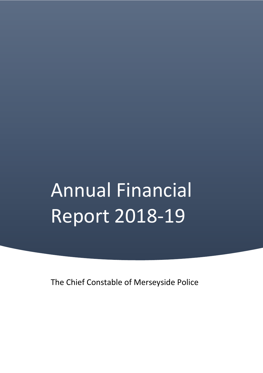# Annual Financial Report 2018-19

The Chief Constable of Merseyside Police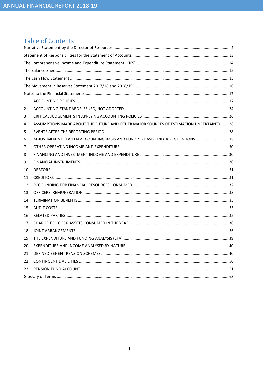# Table of Contents

| 1  |                                                                                        |  |
|----|----------------------------------------------------------------------------------------|--|
| 2  |                                                                                        |  |
| 3  |                                                                                        |  |
| 4  | ASSUMPTIONS MADE ABOUT THE FUTURE AND OTHER MAJOR SOURCES OF ESTIMATION UNCERTAINTY 28 |  |
| 5  |                                                                                        |  |
| 6  | ADJUSTMENTS BETWEEN ACCOUNTING BASIS AND FUNDING BASIS UNDER REGULATIONS  28           |  |
| 7  |                                                                                        |  |
| 8  |                                                                                        |  |
| 9  |                                                                                        |  |
| 10 |                                                                                        |  |
| 11 |                                                                                        |  |
| 12 |                                                                                        |  |
| 13 |                                                                                        |  |
| 14 |                                                                                        |  |
| 15 |                                                                                        |  |
| 16 |                                                                                        |  |
| 17 |                                                                                        |  |
| 18 |                                                                                        |  |
| 19 |                                                                                        |  |
| 20 |                                                                                        |  |
| 21 |                                                                                        |  |
| 22 |                                                                                        |  |
| 23 |                                                                                        |  |
|    |                                                                                        |  |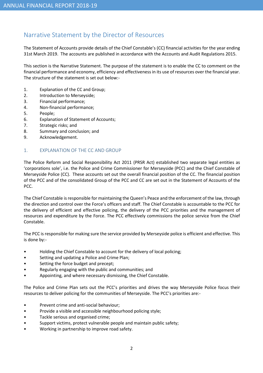# Narrative Statement by the Director of Resources

The Statement of Accounts provide details of the Chief Constable's (CC) financial activities for the year ending 31st March 2019. The accounts are published in accordance with the Accounts and Audit Regulations 2015.

This section is the Narrative Statement. The purpose of the statement is to enable the CC to comment on the financial performance and economy, efficiency and effectiveness in its use of resources over the financial year. The structure of the statement is set out below:-

- 1. Explanation of the CC and Group;
- 2. Introduction to Merseyside;
- 3. Financial performance;
- 4. Non-financial performance;
- 5. People;
- 6. Explanation of Statement of Accounts;
- 7. Strategic risks; and
- 8. Summary and conclusion; and
- 9. Acknowledgement.

#### 1. EXPLANATION OF THE CC AND GROUP

The Police Reform and Social Responsibility Act 2011 (PRSR Act) established two separate legal entities as 'corporations sole', i.e. the Police and Crime Commissioner for Merseyside (PCC) and the Chief Constable of Merseyside Police (CC). These accounts set out the overall financial position of the CC. The financial position of the PCC and of the consolidated Group of the PCC and CC are set out in the Statement of Accounts of the PCC.

The Chief Constable is responsible for maintaining the Queen's Peace and the enforcement of the law, through the direction and control over the Force's officers and staff. The Chief Constable is accountable to the PCC for the delivery of efficient and effective policing, the delivery of the PCC priorities and the management of resources and expenditure by the Force. The PCC effectively commissions the police service from the Chief Constable.

The PCC is responsible for making sure the service provided by Merseyside police is efficient and effective. This is done by:-

- Holding the Chief Constable to account for the delivery of local policing;
- Setting and updating a Police and Crime Plan;
- Setting the force budget and precept;
- Regularly engaging with the public and communities; and
- Appointing, and where necessary dismissing, the Chief Constable.

The Police and Crime Plan sets out the PCC's priorities and drives the way Merseyside Police focus their resources to deliver policing for the communities of Merseyside. The PCC's priorities are:-

- Prevent crime and anti-social behaviour;
- Provide a visible and accessible neighbourhood policing style;
- Tackle serious and organised crime;
- Support victims, protect vulnerable people and maintain public safety;
- Working in partnership to improve road safety.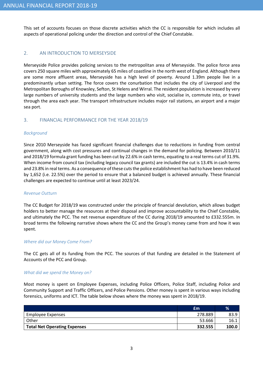This set of accounts focuses on those discrete activities which the CC is responsible for which includes all aspects of operational policing under the direction and control of the Chief Constable.

#### 2. AN INTRODUCTION TO MERSEYSIDE

Merseyside Police provides policing services to the metropolitan area of Merseyside. The police force area covers 250 square miles with approximately 65 miles of coastline in the north west of England. Although there are some more affluent areas, Merseyside has a high level of poverty. Around 1.39m people live in a predominantly urban setting. The force covers the conurbation that includes the city of Liverpool and the Metropolitan Boroughs of Knowsley, Sefton, St Helens and Wirral. The resident population is increased by very large numbers of university students and the large numbers who visit, socialise in, commute into, or travel through the area each year. The transport infrastructure includes major rail stations, an airport and a major sea port.

#### 3. FINANCIAL PERFORMANCE FOR THE YEAR 2018/19

#### Background

Since 2010 Merseyside has faced significant financial challenges due to reductions in funding from central government, along with cost pressures and continual changes in the demand for policing. Between 2010/11 and 2018/19 formula grant funding has been cut by 22.6% in cash terms, equating to a real terms cut of 31.9%. When income from council tax (including legacy council tax grants) are included the cut is 13.4% in cash terms and 23.8% in real terms. As a consequence of these cuts the police establishment has had to have been reduced by 1,652 (i.e. 22.5%) over the period to ensure that a balanced budget is achieved annually. These financial challenges are expected to continue until at least 2023/24.

#### Revenue Outturn

The CC Budget for 2018/19 was constructed under the principle of financial devolution, which allows budget holders to better manage the resources at their disposal and improve accountability to the Chief Constable, and ultimately the PCC. The net revenue expenditure of the CC during 2018/19 amounted to £332.555m. In broad terms the following narrative shows where the CC and the Group's money came from and how it was spent.

#### Where did our Money Come From?

The CC gets all of its funding from the PCC. The sources of that funding are detailed in the Statement of Accounts of the PCC and Group.

#### What did we spend the Money on?

Most money is spent on Employee Expenses, including Police Officers, Police Staff, including Police and Community Support and Traffic Officers, and Police Pensions. Other money is spent in various ways including forensics, uniforms and ICT. The table below shows where the money was spent in 2018/19.

|                                     | £m      | $\%$  |
|-------------------------------------|---------|-------|
| Employee Expenses                   | 278.889 | 83.9  |
| Other                               | 53.666  | 16.1  |
| <b>Total Net Operating Expenses</b> | 332.555 | 100.0 |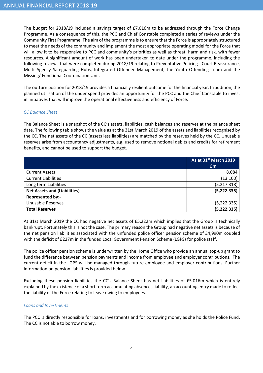The budget for 2018/19 included a savings target of £7.016m to be addressed through the Force Change Programme. As a consequence of this, the PCC and Chief Constable completed a series of reviews under the Community First Programme. The aim of the programme is to ensure that the Force is appropriately structured to meet the needs of the community and implement the most appropriate operating model for the Force that will allow it to be responsive to PCC and community's priorities as well as threat, harm and risk, with fewer resources. A significant amount of work has been undertaken to date under the programme, including the following reviews that were completed during 2018/19 relating to Preventative Policing - Court Reassurance, Multi Agency Safeguarding Hubs, Integrated Offender Management, the Youth Offending Team and the Missing/ Functional Coordination Unit.

The outturn position for 2018/19 provides a financially resilient outcome for the financial year. In addition, the planned utilisation of the under spend provides an opportunity for the PCC and the Chief Constable to invest in initiatives that will improve the operational effectiveness and efficiency of Force.

#### CC Balance Sheet

The Balance Sheet is a snapshot of the CC's assets, liabilities, cash balances and reserves at the balance sheet date. The following table shows the value as at the 31st March 2019 of the assets and liabilities recognised by the CC. The net assets of the CC (assets less liabilities) are matched by the reserves held by the CC. Unusable reserves arise from accountancy adjustments, e.g. used to remove notional debits and credits for retirement benefits, and cannot be used to support the budget.

|                                     | As at 31 <sup>st</sup> March 2019 |
|-------------------------------------|-----------------------------------|
|                                     | £m                                |
| <b>Current Assets</b>               | 8.084                             |
| <b>Current Liabilities</b>          | (13.100)                          |
| Long term Liabilities               | (5,217.318)                       |
| <b>Net Assets and (Liabilities)</b> | (5, 222.335)                      |
| Represented by:-                    |                                   |
| <b>Unusable Reserves</b>            | (5, 222.335)                      |
| <b>Total Reserves</b>               | (5, 222.335)                      |

At 31st March 2019 the CC had negative net assets of £5,222m which implies that the Group is technically bankrupt. Fortunately this is not the case. The primary reason the Group had negative net assets is because of the net pension liabilities associated with the unfunded police officer pension scheme of £4,990m coupled with the deficit of £227m in the funded Local Government Pension Scheme (LGPS) for police staff.

The police officer pension scheme is underwritten by the Home Office who provide an annual top-up grant to fund the difference between pension payments and income from employee and employer contributions. The current deficit in the LGPS will be managed through future employee and employer contributions. Further information on pension liabilities is provided below.

Excluding these pension liabilities the CC's Balance Sheet has net liabilities of £5.016m which is entirely explained by the existence of a short term accumulating absences liability, an accounting entry made to reflect the liability of the Force relating to leave owing to employees.

#### Loans and Investments

The PCC is directly responsible for loans, investments and for borrowing money as she holds the Police Fund. The CC is not able to borrow money.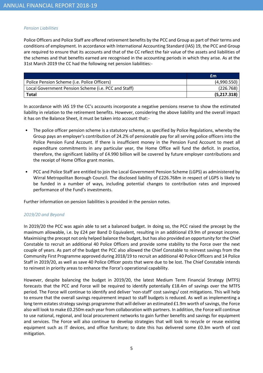#### Pension Liabilities

Police Officers and Police Staff are offered retirement benefits by the PCC and Group as part of their terms and conditions of employment. In accordance with International Accounting Standard (IAS) 19, the PCC and Group are required to ensure that its accounts and that of the CC reflect the fair value of the assets and liabilities of the schemes and that benefits earned are recognised in the accounting periods in which they arise. As at the 31st March 2019 the CC had the following net pension liabilities:-

|                                                      | £m          |
|------------------------------------------------------|-------------|
| Police Pension Scheme (i.e. Police Officers)         | (4,990.550) |
| Local Government Pension Scheme (i.e. PCC and Staff) | (226.768)   |
| <b>Total</b>                                         | (5,217.318) |

In accordance with IAS 19 the CC's accounts incorporate a negative pensions reserve to show the estimated liability in relation to the retirement benefits. However, considering the above liability and the overall impact it has on the Balance Sheet, it must be taken into account that:-

- The police officer pension scheme is a statutory scheme, as specified by Police Regulations, whereby the Group pays an employer's contribution of 24.2% of pensionable pay for all serving police officers into the Police Pension Fund Account. If there is insufficient money in the Pension Fund Account to meet all expenditure commitments in any particular year, the Home Office will fund the deficit. In practice, therefore, the significant liability of £4.990 billion will be covered by future employer contributions and the receipt of Home Office grant monies.
- PCC and Police Staff are entitled to join the Local Government Pension Scheme (LGPS) as administered by Wirral Metropolitan Borough Council. The disclosed liability of £226.768m in respect of LGPS is likely to be funded in a number of ways, including potential changes to contribution rates and improved performance of the Fund's investments.

Further information on pension liabilities is provided in the pension notes.

#### 2019/20 and Beyond

In 2019/20 the PCC was again able to set a balanced budget. In doing so, the PCC raised the precept by the maximum allowable, i.e. by £24 per Band D Equivalent, resulting in an additional £9.9m of precept income. Maximising the precept not only helped balance the budget, but has also provided an opportunity for the Chief Constable to recruit an additional 40 Police Officers and provide some stability to the Force over the next couple of years. As part of the budget the PCC also allowed the Chief Constable to reinvest savings from the Community First Programme approved during 2018/19 to recruit an additional 40 Police Officers and 14 Police Staff in 2019/20, as well as save 40 Police Officer posts that were due to be lost. The Chief Constable intends to reinvest in priority areas to enhance the Force's operational capability.

However, despite balancing the budget in 2019/20, the latest Medium Term Financial Strategy (MTFS) forecasts that the PCC and Force will be required to identify potentially £18.4m of savings over the MTFS period. The Force will continue to identify and deliver 'non-staff' cost savings/ cost mitigations. This will help to ensure that the overall savings requirement impact to staff budgets is reduced. As well as implementing a long term estates strategy savings programme that will deliver an estimated £1.9m worth of savings, the Force also will look to make £0.250m each year from collaboration with partners. In addition, the Force will continue to use national, regional, and local procurement networks to gain further benefits and savings for equipment and services. The Force will also continue to develop strategies that will look to recycle or reuse existing equipment such as IT devices, and office furniture; to date this has delivered some £0.3m worth of cost mitigation.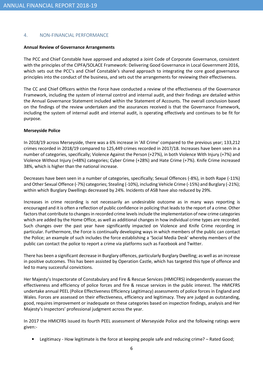#### 4. NON-FINANCIAL PERFORMANCE

#### Annual Review of Governance Arrangements

The PCC and Chief Constable have approved and adopted a Joint Code of Corporate Governance, consistent with the principles of the CIPFA/SOLACE Framework: Delivering Good Governance in Local Government 2016, which sets out the PCC's and Chief Constable's shared approach to integrating the core good governance principles into the conduct of the business, and sets out the arrangements for reviewing their effectiveness.

The CC and Chief Officers within the Force have conducted a review of the effectiveness of the Governance Framework, including the system of internal control and internal audit, and their findings are detailed within the Annual Governance Statement included within the Statement of Accounts. The overall conclusion based on the findings of the review undertaken and the assurances received is that the Governance Framework, including the system of internal audit and internal audit, is operating effectively and continues to be fit for purpose.

#### Merseyside Police

In 2018/19 across Merseyside, there was a 6% increase in 'All Crime' compared to the previous year; 133,212 crimes recorded in 2018/19 compared to 125,449 crimes recorded in 2017/18. Increases have been seen in a number of categories, specifically; Violence Against the Person (+27%), in both Violence With Injury (+7%) and Violence Without Injury (+48%) categories; Cyber Crime (+28%) and Hate Crime (+7%). Knife Crime increased 38%, which is higher than the national increase.

Decreases have been seen in a number of categories, specifically; Sexual Offences (-8%), in both Rape (-11%) and Other Sexual Offence (-7%) categories; Stealing (-10%), including Vehicle Crime (-15%) and Burglary (-21%); within which Burglary Dwellings decreased by 24%. Incidents of ASB have also reduced by 29%.

Increases in crime recording is not necessarily an undesirable outcome as in many ways reporting is encouraged and it is often a reflection of public confidence in policing that leads to the report of a crime. Other factors that contribute to changes in recorded crime levels include the implementation of new crime categories which are added by the Home Office, as well as additional changes in how individual crime types are recorded. Such changes over the past year have significantly impacted on Violence and Knife Crime recording in particular. Furthermore, the Force is continually developing ways in which members of the public can contact the Police; an example of such includes the force establishing a 'Social Media Desk' whereby members of the public can contact the police to report a crime via platforms such as Facebook and Twitter.

There has been a significant decrease in Burglary offences, particularly Burglary Dwelling; as well as an increase in positive outcomes. This has been assisted by Operation Castle, which has targeted this type of offence and led to many successful convictions.

Her Majesty's Inspectorate of Constabulary and Fire & Rescue Services (HMICFRS) independently assesses the effectiveness and efficiency of police forces and fire & rescue services in the public interest. The HMICFRS undertake annual PEEL (Police Effectiveness Efficiency Legitimacy) assessments of police forces in England and Wales. Forces are assessed on their effectiveness, efficiency and legitimacy. They are judged as outstanding, good, requires improvement or inadequate on these categories based on inspection findings, analysis and Her Majesty's Inspectors' professional judgment across the year.

In 2017 the HMICFRS issued its fourth PEEL assessment of Merseyside Police and the following ratings were given:-

• Legitimacy - How legitimate is the force at keeping people safe and reducing crime? – Rated Good;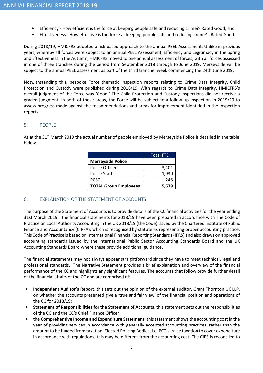- Efficiency How efficient is the force at keeping people safe and reducing crime?- Rated Good; and
- Effectiveness How effective is the force at keeping people safe and reducing crime? Rated Good.

During 2018/19, HMICFRS adopted a risk based approach to the annual PEEL Assessment. Unlike in previous years, whereby all forces were subject to an annual PEEL Assessment, Efficiency and Legitimacy in the Spring and Effectiveness in the Autumn, HMICFRS moved to one annual assessment of forces, with all forces assessed in one of three tranches during the period from September 2018 through to June 2019. Merseyside will be subject to the annual PEEL assessment as part of the third tranche, week commencing the 24th June 2019.

Notwithstanding this, bespoke Force thematic inspection reports relating to Crime Data Integrity, Child Protection and Custody were published during 2018/19. With regards to Crime Data Integrity, HMICFRS's overall judgment of the Force was 'Good.' The Child Protection and Custody inspections did not receive a graded judgment. In both of these areas, the Force will be subject to a follow up inspection in 2019/20 to assess progress made against the recommendations and areas for improvement identified in the inspection reports.

#### 5. PEOPLE

As at the 31<sup>st</sup> March 2019 the actual number of people employed by Merseyside Police is detailed in the table below.

|                              | <b>Total FTE</b> |
|------------------------------|------------------|
| <b>Merseyside Police</b>     |                  |
| <b>Police Officers</b>       | 3,401            |
| <b>Police Staff</b>          | 1,930            |
| <b>PCSO<sub>S</sub></b>      | 248              |
| <b>TOTAL Group Employees</b> | 5.579            |

#### 6. EXPLANATION OF THE STATEMENT OF ACCOUNTS

The purpose of the Statement of Accounts is to provide details of the CC financial activities for the year ending 31st March 2019. The financial statements for 2018/19 have been prepared in accordance with The Code of Practice on Local Authority Accounting in the UK 2018/19 (the Code) issued by the Chartered Institute of Public Finance and Accountancy (CIPFA), which is recognised by statute as representing proper accounting practice. This Code of Practice is based on International Financial Reporting Standards (IFRS) and also draws on approved accounting standards issued by the International Public Sector Accounting Standards Board and the UK Accounting Standards Board where these provide additional guidance.

The financial statements may not always appear straightforward since they have to meet technical, legal and professional standards. The Narrative Statement provides a brief explanation and overview of the financial performance of the CC and highlights any significant features. The accounts that follow provide further detail of the financial affairs of the CC and are comprised of:-

- Independent Auditor's Report, this sets out the opinion of the external auditor, Grant Thornton UK LLP, on whether the accounts presented give a 'true and fair view' of the financial position and operations of the CC for 2018/19;
- Statement of Responsibilities for the Statement of Accounts, this statement sets out the responsibilities of the CC and the CC's Chief Finance Officer;
- the Comprehensive Income and Expenditure Statement, this statement shows the accounting cost in the year of providing services in accordance with generally accepted accounting practices, rather than the amount to be funded from taxation. Elected Policing Bodies, i.e. PCC's, raise taxation to cover expenditure in accordance with regulations, this may be different from the accounting cost. The CIES is reconciled to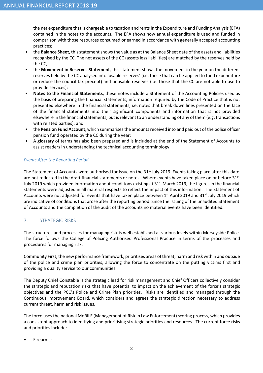the net expenditure that is chargeable to taxation and rents in the Expenditure and Funding Analysis (EFA) contained in the notes to the accounts. The EFA shows how annual expenditure is used and funded in comparison with those resources consumed or earned in accordance with generally accepted accounting practices;

- the **Balance Sheet**, this statement shows the value as at the Balance Sheet date of the assets and liabilities recognised by the CC. The net assets of the CC (assets less liabilities) are matched by the reserves held by the CC;
- the Movement in Reserves Statement, this statement shows the movement in the year on the different reserves held by the CC analysed into 'usable reserves' (i.e. those that can be applied to fund expenditure or reduce the council tax precept) and unusable reserves (i.e. those that the CC are not able to use to provide services);
- Notes to the Financial Statements, these notes include a Statement of the Accounting Policies used as the basis of preparing the financial statements, information required by the Code of Practice that is not presented elsewhere in the financial statements, i.e. notes that break down lines presented on the face of the financial statements into their significant components and information that is not provided elsewhere in the financial statements, but is relevant to an understanding of any of them (e.g. transactions with related parties); and
- the Pension Fund Account, which summarises the amounts received into and paid out of the police officer pension fund operated by the CC during the year;
- A glossary of terms has also been prepared and is included at the end of the Statement of Accounts to assist readers in understanding the technical accounting terminology.

### Events After the Reporting Period

The Statement of Accounts were authorised for issue on the 31<sup>st</sup> July 2019. Events taking place after this date are not reflected in the draft financial statements or notes. Where events have taken place on or before 31st July 2019 which provided information about conditions existing at 31<sup>st</sup> March 2019, the figures in the financial statements were adjusted in all material respects to reflect the impact of this information. The Statement of Accounts were not adjusted for events that have taken place between 1<sup>st</sup> April 2019 and 31<sup>st</sup> July 2019 which are indicative of conditions that arose after the reporting period. Since the issuing of the unaudited Statement of Accounts and the completion of the audit of the accounts no material events have been identified.

### 7. STRATEGIC RISKS

The structures and processes for managing risk is well established at various levels within Merseyside Police. The force follows the College of Policing Authorised Professional Practice in terms of the processes and procedures for managing risk.

Community First, the new performance framework, prioritises areas of threat, harm and risk within and outside of the police and crime plan priorities, allowing the force to concentrate on the putting victims first and providing a quality service to our communities.

The Deputy Chief Constable is the strategic lead for risk management and Chief Officers collectively consider the strategic and reputation risks that have potential to impact on the achievement of the force's strategic objectives and the PCC's Police and Crime Plan priorities. Risks are identified and managed through the Continuous Improvement Board, which considers and agrees the strategic direction necessary to address current threat, harm and risk issues.

The force uses the national MoRiLE (Management of Risk in Law Enforcement) scoring process, which provides a consistent approach to identifying and prioritising strategic priorities and resources. The current force risks and priorities include:-

• Firearms;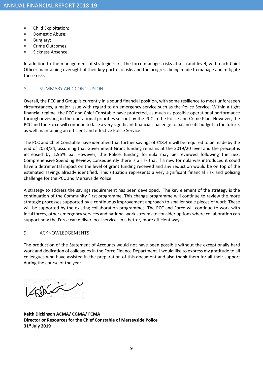- Child Exploitation;
- Domestic Abuse;
- Burglary;
- Crime Outcomes;
- Sickness Absence.

In addition to the management of strategic risks, the force manages risks at a strand level, with each Chief Officer maintaining oversight of their key portfolio risks and the progress being made to manage and mitigate these risks.

#### 8. SUMMARY AND CONCLUSION

Overall, the PCC and Group is currently in a sound financial position, with some resilience to meet unforeseen circumstances, a major issue with regard to an emergency service such as the Police Service. Within a tight financial regime, the PCC and Chief Constable have protected, as much as possible operational performance through investing in the operational priorities set out by the PCC in the Police and Crime Plan. However, the PCC and the Force will continue to face a very significant financial challenge to balance its budget in the future, as well maintaining an efficient and effective Police Service.

The PCC and Chief Constable have identified that further savings of £18.4m will be required to be made by the end of 2023/24, assuming that Government Grant funding remains at the 2019/20 level and the precept is increased by 1.95% pa. However, the Police funding formula may be reviewed following the next Comprehensive Spending Review, consequently there is a risk that if a new formula was introduced it could have a detrimental impact on the level of grant funding received and any reduction would be on top of the estimated savings already identified. This situation represents a very significant financial risk and policing challenge for the PCC and Merseyside Police.

A strategy to address the savings requirement has been developed. The key element of the strategy is the continuation of the Community First programme. This change programme will continue to review the more strategic processes supported by a continuous improvement approach to smaller scale pieces of work. These will be supported by the existing collaboration programmes. The PCC and Force will continue to work with local forces, other emergency services and national work streams to consider options where collaboration can support how the Force can deliver local services in a better, more efficient way.

#### 9. ACKNOWLEDGEMENTS

The production of the Statement of Accounts would not have been possible without the exceptionally hard work and dedication of colleagues in the Force Finance Department. I would like to express my gratitude to all colleagues who have assisted in the preparation of this document and also thank them for all their support during the course of the year.

Bis

Keith Dickinson ACMA/ CGMA/ FCMA Director or Resources for the Chief Constable of Merseyside Police 31<sup>st</sup> July 2019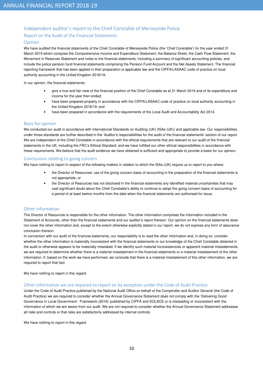#### Independent auditor's report to the Chief Constable of Merseyside Police

#### Report on the Audit of the Financial Statements

#### Opinion

We have audited the financial statements of the Chief Constable of Merseyside Police (the 'Chief Constable') for the year ended 31 March 2019 which comprise the Comprehensive Income and Expenditure Statement, the Balance Sheet, the Cash Flow Statement, the Movement in Reserves Statement and notes to the financial statements, including a summary of significant accounting policies, and include the police pension fund financial statements comprising the Pension Fund Account and the Net Assets Statement. The financial reporting framework that has been applied in their preparation is applicable law and the CIPFA/LASAAC code of practice on local authority accounting in the United Kingdom 2018/19.

In our opinion, the financial statements:

- give a true and fair view of the financial position of the Chief Constable as at 31 March 2019 and of its expenditure and income for the year then ended;
- have been prepared properly in accordance with the CIPFA/LASAAC code of practice on local authority accounting in the United Kingdom 2018/19; and
- have been prepared in accordance with the requirements of the Local Audit and Accountability Act 2014.

#### Basis for opinion

We conducted our audit in accordance with International Standards on Auditing (UK) (ISAs (UK)) and applicable law. Our responsibilities under those standards are further described in the 'Auditor's responsibilities for the audit of the financial statements' section of our report. We are independent of the Chief Constable in accordance with the ethical requirements that are relevant to our audit of the financial statements in the UK, including the FRC's Ethical Standard, and we have fulfilled our other ethical responsibilities in accordance with these requirements. We believe that the audit evidence we have obtained is sufficient and appropriate to provide a basis for our opinion.

#### Conclusions relating to going concern

We have nothing to report in respect of the following matters in relation to which the ISAs (UK) require us to report to you where:

- the Director of Resources' use of the going concern basis of accounting in the preparation of the financial statements is not appropriate; or
- the Director of Resources has not disclosed in the financial statements any identified material uncertainties that may cast significant doubt about the Chief Constable's ability to continue to adopt the going concern basis of accounting for a period of at least twelve months from the date when the financial statements are authorised for issue.

#### Other information

The Director of Resources is responsible for the other information. The other information comprises the information included in the Statement of Accounts, other than the financial statements and our auditor's report thereon. Our opinion on the financial statements does not cover the other information and, except to the extent otherwise explicitly stated in our report, we do not express any form of assurance conclusion thereon.

In connection with our audit of the financial statements, our responsibility is to read the other information and, in doing so, consider whether the other information is materially inconsistent with the financial statements or our knowledge of the Chief Constable obtained in the audit or otherwise appears to be materially misstated. If we identify such material inconsistencies or apparent material misstatements, we are required to determine whether there is a material misstatement in the financial statements or a material misstatement of the other information. If, based on the work we have performed, we conclude that there is a material misstatement of this other information, we are required to report that fact.

We have nothing to report in this regard.

#### Other information we are required to report on by exception under the Code of Audit Practice

Under the Code of Audit Practice published by the National Audit Office on behalf of the Comptroller and Auditor General (the Code of Audit Practice) we are required to consider whether the Annual Governance Statement does not comply with the 'Delivering Good Governance in Local Government: Framework (2016)' published by CIPFA and SOLACE or is misleading or inconsistent with the information of which we are aware from our audit. We are not required to consider whether the Annual Governance Statement addresses all risks and controls or that risks are satisfactorily addressed by internal controls.

We have nothing to report in this regard.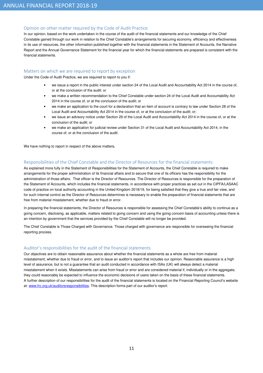#### Opinion on other matter required by the Code of Audit Practice

In our opinion, based on the work undertaken in the course of the audit of the financial statements and our knowledge of the Chief Constable gained through our work in relation to the Chief Constable's arrangements for securing economy, efficiency and effectiveness in its use of resources, the other information published together with the financial statements in the Statement of Accounts, the Narrative Report and the Annual Governance Statement for the financial year for which the financial statements are prepared is consistent with the financial statements.

#### Matters on which we are required to report by exception

Under the Code of Audit Practice, we are required to report to you if:

- we issue a report in the public interest under section 24 of the Local Audit and Accountability Act 2014 in the course of, or at the conclusion of the audit; or
- we make a written recommendation to the Chief Constable under section 24 of the Local Audit and Accountability Act 2014 in the course of, or at the conclusion of the audit; or
- we make an application to the court for a declaration that an item of account is contrary to law under Section 28 of the Local Audit and Accountability Act 2014 in the course of, or at the conclusion of the audit; or;
- we issue an advisory notice under Section 29 of the Local Audit and Accountability Act 2014 in the course of, or at the conclusion of the audit; or
- we make an application for judicial review under Section 31 of the Local Audit and Accountability Act 2014, in the course of, or at the conclusion of the audit.

We have nothing to report in respect of the above matters**.** 

#### Responsibilities of the Chief Constable and the Director of Resources for the financial statements

As explained more fully in the Statement of Responsibilities for the Statement of Accounts, the Chief Constable is required to make arrangements for the proper administration of its financial affairs and to secure that one of its officers has the responsibility for the administration of those affairs. That officer is the Director of Resources. The Director of Resources is responsible for the preparation of the Statement of Accounts, which includes the financial statements, in accordance with proper practices as set out in the CIPFA/LASAAC code of practice on local authority accounting in the United Kingdom 2018/19, for being satisfied that they give a true and fair view, and for such internal control as the Director of Resources determines is necessary to enable the preparation of financial statements that are free from material misstatement, whether due to fraud or error.

In preparing the financial statements, the Director of Resources is responsible for assessing the Chief Constable's ability to continue as a going concern, disclosing, as applicable, matters related to going concern and using the going concern basis of accounting unless there is an intention by government that the services provided by the Chief Constable will no longer be provided.

The Chief Constable is Those Charged with Governance. Those charged with governance are responsible for overseeing the financial reporting process.

#### Auditor's responsibilities for the audit of the financial statements

Our objectives are to obtain reasonable assurance about whether the financial statements as a whole are free from material misstatement, whether due to fraud or error, and to issue an auditor's report that includes our opinion. Reasonable assurance is a high level of assurance, but is not a guarantee that an audit conducted in accordance with ISAs (UK) will always detect a material misstatement when it exists. Misstatements can arise from fraud or error and are considered material if, individually or in the aggregate, they could reasonably be expected to influence the economic decisions of users taken on the basis of these financial statements. A further description of our responsibilities for the audit of the financial statements is located on the Financial Reporting Council's website at: www.frc.org.uk/auditorsresponsibilities. This description forms part of our auditor's report.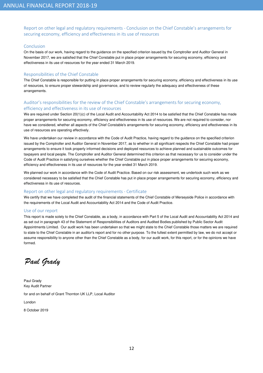Report on other legal and regulatory requirements - Conclusion on the Chief Constable's arrangements for securing economy, efficiency and effectiveness in its use of resources

#### Conclusion

On the basis of our work, having regard to the guidance on the specified criterion issued by the Comptroller and Auditor General in November 2017, we are satisfied that the Chief Constable put in place proper arrangements for securing economy, efficiency and effectiveness in its use of resources for the year ended 31 March 2019.

#### Responsibilities of the Chief Constable

The Chief Constable is responsible for putting in place proper arrangements for securing economy, efficiency and effectiveness in its use of resources, to ensure proper stewardship and governance, and to review regularly the adequacy and effectiveness of these arrangements.

#### Auditor's responsibilities for the review of the Chief Constable's arrangements for securing economy, efficiency and effectiveness in its use of resources

We are required under Section 20(1)(c) of the Local Audit and Accountability Act 2014 to be satisfied that the Chief Constable has made proper arrangements for securing economy, efficiency and effectiveness in its use of resources. We are not required to consider, nor have we considered, whether all aspects of the Chief Constable's arrangements for securing economy, efficiency and effectiveness in its use of resources are operating effectively.

We have undertaken our review in accordance with the Code of Audit Practice, having regard to the guidance on the specified criterion issued by the Comptroller and Auditor General in November 2017, as to whether in all significant respects the Chief Constable had proper arrangements to ensure it took properly informed decisions and deployed resources to achieve planned and sustainable outcomes for taxpayers and local people. The Comptroller and Auditor General determined this criterion as that necessary for us to consider under the Code of Audit Practice in satisfying ourselves whether the Chief Constable put in place proper arrangements for securing economy, efficiency and effectiveness in its use of resources for the year ended 31 March 2019.

We planned our work in accordance with the Code of Audit Practice. Based on our risk assessment, we undertook such work as we considered necessary to be satisfied that the Chief Constable has put in place proper arrangements for securing economy, efficiency and effectiveness in its use of resources.

#### Report on other legal and regulatory requirements - Certificate

We certify that we have completed the audit of the financial statements of the Chief Constable of Merseyside Police in accordance with the requirements of the Local Audit and Accountability Act 2014 and the Code of Audit Practice.

#### Use of our report

This report is made solely to the Chief Constable, as a body, in accordance with Part 5 of the Local Audit and Accountability Act 2014 and as set out in paragraph 43 of the Statement of Responsibilities of Auditors and Audited Bodies published by Public Sector Audit Appointments Limited. Our audit work has been undertaken so that we might state to the Chief Constable those matters we are required to state to the Chief Constable in an auditor's report and for no other purpose. To the fullest extent permitted by law, we do not accept or assume responsibility to anyone other than the Chief Constable as a body, for our audit work, for this report, or for the opinions we have formed.

Paul Grady

Paul Grady Key Audit Partner

for and on behalf of Grant Thornton UK LLP, Local Auditor

London

8 October 2019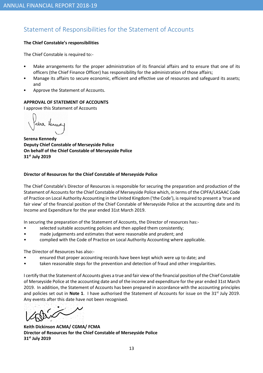# Statement of Responsibilities for the Statement of Accounts

### The Chief Constable's responsibilities

The Chief Constable is required to:-

- Make arrangements for the proper administration of its financial affairs and to ensure that one of its officers (the Chief Finance Officer) has responsibility for the administration of those affairs;
- Manage its affairs to secure economic, efficient and effective use of resources and safeguard its assets; and
- Approve the Statement of Accounts.

# APPROVAL OF STATEMENT OF ACCOUNTS

I approve this Statement of Accounts

sina Henned

Serena Kennedy Deputy Chief Constable of Merseyside Police On behalf of the Chief Constable of Merseyside Police 31<sup>st</sup> July 2019

### Director of Resources for the Chief Constable of Merseyside Police

The Chief Constable's Director of Resources is responsible for securing the preparation and production of the Statement of Accounts for the Chief Constable of Merseyside Police which, in terms of the CIPFA/LASAAC Code of Practice on Local Authority Accounting in the United Kingdom ('the Code'), is required to present a 'true and fair view' of the financial position of the Chief Constable of Merseyside Police at the accounting date and its Income and Expenditure for the year ended 31st March 2019.

In securing the preparation of the Statement of Accounts, the Director of resources has:-

- selected suitable accounting policies and then applied them consistently;
- made judgements and estimates that were reasonable and prudent; and
- complied with the Code of Practice on Local Authority Accounting where applicable.

The Director of Resources has also:-

- ensured that proper accounting records have been kept which were up to date; and
- taken reasonable steps for the prevention and detection of fraud and other irregularities.

I certify that the Statement of Accounts gives a true and fair view of the financial position of the Chief Constable of Merseyside Police at the accounting date and of the income and expenditure for the year ended 31st March 2019. In addition, the Statement of Accounts has been prepared in accordance with the accounting principles and policies set out in **Note 1**. I have authorised the Statement of Accounts for issue on the  $31<sup>st</sup>$  July 2019. Any events after this date have not been recognised.

Keith Dickinson ACMA/ CGMA/ FCMA Director of Resources for the Chief Constable of Merseyside Police 31st July 2019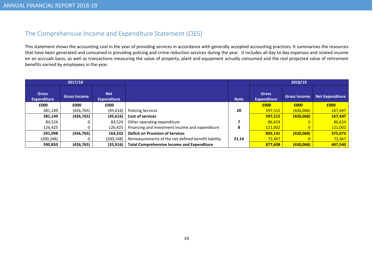# The Comprehensive Income and Expenditure Statement (CIES)

This statement shows the accounting cost in the year of providing services in accordance with generally accepted accounting practices. It summarises the resources that have been generated and consumed in providing policing and crime reduction services during the year. It includes all day to day expenses and related income on an accruals basis, as well as transactions measuring the value of property, plant and equipment actually consumed and the real projected value of retirementbenefits earned by employees in the year.

| 2017/18                            |                     |                                  |                                                     |             |                                    | 2018/19             |                 |
|------------------------------------|---------------------|----------------------------------|-----------------------------------------------------|-------------|------------------------------------|---------------------|-----------------|
| <b>Gross</b><br><b>Expenditure</b> | <b>Gross Income</b> | <b>Net</b><br><b>Expenditure</b> |                                                     | <b>Note</b> | <b>Gross</b><br><b>Expenditure</b> | <b>Gross Income</b> | Net Expenditure |
| £000                               | £000                | £000                             |                                                     |             | £000                               | £000                | £000            |
| 381,149                            | (426, 765)          | (45, 616)                        | <b>Policing Services</b>                            |             | 597,515                            | (430,068)           | 167,447         |
| 381,149                            | (426, 765)          | (45, 616)                        | <b>Cost of services</b>                             |             | 597,515                            | (430,068)           | 167,447         |
| 83.524                             |                     | 83.524                           | Other operating expenditure                         |             | 86,624                             |                     | 86,624          |
| 126,425                            |                     | 126,425                          | Financing and investment income and expenditure     | 8           | 121,002                            |                     | 121,002         |
| 591,098                            | (426, 765)          | 164,332                          | <b>Deficit on Provision of Services</b>             |             | 805,141                            | (430,068)           | 375,073         |
| (200,248)                          |                     | (200, 248)                       | Remeasurements of the net defined benefit liability | 21.14       | 72,467                             |                     | 72,467          |
| 390,850                            | (426, 765)          | (35, 916)                        | <b>Total Comprehensive Income and Expenditure</b>   |             | 877.608                            | (430,068)           | 447,540         |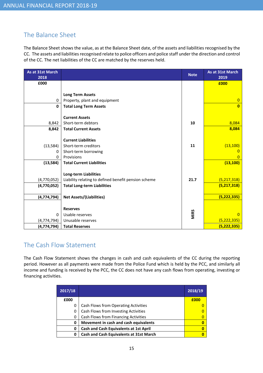# The Balance Sheet

The Balance Sheet shows the value, as at the Balance Sheet date, of the assets and liabilities recognised by the CC. The assets and liabilities recognised relate to police officers and police staff under the direction and control of the CC. The net liabilities of the CC are matched by the reserves held.

| As at 31st March<br>2018 |                                                      | <b>Note</b> | As at 31st March<br>2019 |
|--------------------------|------------------------------------------------------|-------------|--------------------------|
| £000                     |                                                      |             | £000                     |
|                          |                                                      |             |                          |
|                          | <b>Long Term Assets</b>                              |             |                          |
| 0                        | Property, plant and equipment                        |             | $\overline{0}$           |
| $\mathbf{0}$             | <b>Total Long Term Assets</b>                        |             | $\overline{0}$           |
|                          |                                                      |             |                          |
|                          | <b>Current Assets</b>                                |             |                          |
| 8,842                    | Short-term debtors                                   | 10          | 8,084                    |
| 8,842                    | <b>Total Current Assets</b>                          |             | 8,084                    |
|                          |                                                      |             |                          |
|                          | <b>Current Liabilities</b>                           |             |                          |
| (13, 584)                | Short-term creditors                                 | 11          | (13, 100)                |
| 0                        | Short-term borrowing                                 |             |                          |
| 0                        | Provisions                                           |             | O                        |
| (13, 584)                | <b>Total Current Liabilities</b>                     |             | (13, 100)                |
|                          | <b>Long-term Liabilities</b>                         |             |                          |
| (4,770,052)              | Liability relating to defined benefit pension scheme | 21.7        | (5, 217, 318)            |
| (4,770,052)              | <b>Total Long-term Liabilities</b>                   |             | (5, 217, 318)            |
|                          |                                                      |             |                          |
| (4, 774, 794)            | <b>Net Assets/(Liabilities)</b>                      |             | (5, 222, 335)            |
|                          |                                                      |             |                          |
|                          | <b>Reserves</b>                                      |             |                          |
| 0                        | Usable reserves                                      | MiRS        | $\Omega$                 |
| (4, 774, 794)            | Unusable reserves                                    |             | (5, 222, 335)            |
| (4, 774, 794)            | <b>Total Reserves</b>                                |             | (5, 222, 335)            |

# The Cash Flow Statement

The Cash Flow Statement shows the changes in cash and cash equivalents of the CC during the reporting period. However as all payments were made from the Police Fund which is held by the PCC, and similarly all income and funding is received by the PCC, the CC does not have any cash flows from operating, investing or financing activities.

| 2017/18 |                                               | 2018/19 |
|---------|-----------------------------------------------|---------|
| £000    |                                               | £000    |
| 0       | Cash Flows from Operating Activities          |         |
| 0       | Cash Flows from Investing Activities          |         |
| 0       | Cash Flows from Financing Activities          |         |
| 0       | Movement in cash and cash equivalents         | o       |
| 0       | <b>Cash and Cash Equivalents at 1st April</b> |         |
| 0       | Cash and Cash Equivalents at 31st March       |         |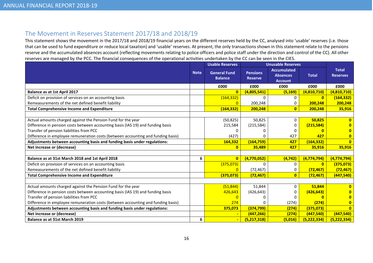# The Movement in Reserves Statement 2017/18 and 2018/19

 This statement shows the movement in the 2017/18 and 2018/19 financial years on the different reserves held by the CC, analysed into 'usable' reserves (i.e. those that can be used to fund expenditure or reduce local taxation) and 'usable' reserves. At present, the only transactions shown in this statement relate to the pensions reserve and the accumulated absences account (reflecting movements relating to police officers and police staff under the direction and control of the CC). All other reserves are managed by the PCC. The financial consequences of the operational activities undertaken by the CC can be seen in the CIES.

|                                                                                  |             | <b>Usable Reserves</b>                |                                   | <b>Unusable Reserves</b>                                |               |                                 |
|----------------------------------------------------------------------------------|-------------|---------------------------------------|-----------------------------------|---------------------------------------------------------|---------------|---------------------------------|
|                                                                                  | <b>Note</b> | <b>General Fund</b><br><b>Balance</b> | <b>Pensions</b><br><b>Reserve</b> | <b>Accumulated</b><br><b>Absences</b><br><b>Account</b> | <b>Total</b>  | <b>Total</b><br><b>Reserves</b> |
|                                                                                  |             | £000                                  | £000                              | £000                                                    | £000          | £000                            |
| <b>Balance as at 1st April 2017</b>                                              |             | $\overline{0}$                        | (4,805,541)                       | (5, 169)                                                | (4,810,710)   | (4,810,710)                     |
| Deficit on provision of services on an accounting basis                          |             | (164, 332)                            | <sup>0</sup>                      | 0                                                       | $\mathbf{0}$  | (164, 332)                      |
| Remeasurements of the net defined benefit liability                              |             | $\Omega$                              | 200,248                           | 0                                                       | 200,248       | 200,248                         |
| <b>Total Comprehensive Income and Expenditure</b>                                |             | (164, 332)                            | 200,248                           | $\mathbf{0}$                                            | 200,248       | 35,916                          |
|                                                                                  |             |                                       |                                   |                                                         |               |                                 |
| Actual amounts charged against the Pension Fund for the year                     |             | (50, 825)                             | 50,825                            | 0                                                       | 50,825        | n.                              |
| Difference in pension costs between accounting basis (IAS 19) and funding basis  |             | 215,584                               | (215, 584)                        |                                                         | (215, 584)    |                                 |
| Transfer of pension liabilities from PCC                                         |             |                                       | O                                 | O                                                       |               |                                 |
| Difference in employee remuneration costs (between accounting and funding basis) |             | (427)                                 |                                   | 427                                                     | 427           | 0                               |
| Adjustments between accounting basis and funding basis under regulations:        |             | 164,332                               | (164, 759)                        | 427                                                     | (164, 332)    | $\overline{0}$                  |
| Net increase or (decrease)                                                       |             | $\bf{0}$                              | 35,489                            | 427                                                     | 35,916        | 35,916                          |
|                                                                                  |             |                                       |                                   |                                                         |               |                                 |
| Balance as at 31st March 2018 and 1st April 2018                                 | 6           | $\overline{0}$                        | (4,770,052)                       | (4, 742)                                                | (4, 774, 794) | (4, 774, 794)                   |
| Deficit on provision of services on an accounting basis                          |             | (375,073)                             | $\Omega$                          | 0                                                       | $\mathbf{0}$  | (375,073)                       |
| Remeasurements of the net defined benefit liability                              |             | $\overline{0}$                        | (72, 467)                         | 0                                                       | (72, 467)     | (72, 467)                       |
| <b>Total Comprehensive Income and Expenditure</b>                                |             | (375, 073)                            | (72, 467)                         | $\bf{0}$                                                | (72, 467)     | (447, 540)                      |
|                                                                                  |             |                                       |                                   |                                                         |               |                                 |
| Actual amounts charged against the Pension Fund for the year                     |             | (51, 844)                             | 51,844                            | $\Omega$                                                | 51,844        | n                               |
| Difference in pension costs between accounting basis (IAS 19) and funding basis  |             | 426,643                               | (426, 643)                        | 0                                                       | (426, 643)    |                                 |
| Transfer of pension liabilities from PCC                                         |             |                                       | 0                                 |                                                         |               |                                 |
| Difference in employee remuneration costs (between accounting and funding basis) |             | 274                                   | O                                 | (274)                                                   | (274)         |                                 |
| Adjustments between accounting basis and funding basis under regulations:        |             | 375,073                               | (374, 799)                        | (274)                                                   | (375,073)     | $\overline{0}$                  |
| Net increase or (decrease)                                                       |             |                                       | (447, 266)                        | (274)                                                   | (447,540)     | (447, 540)                      |
| <b>Balance as at 31st March 2019</b>                                             | 6           | $\blacksquare$                        | (5,217,318)                       | (5,016)                                                 | (5, 222, 334) | (5, 222, 334)                   |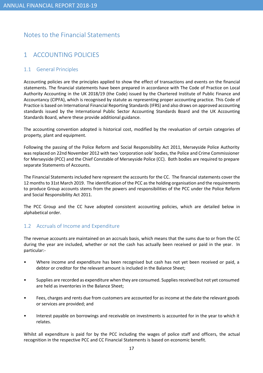# Notes to the Financial Statements

# 1 ACCOUNTING POLICIES

### 1.1 General Principles

Accounting policies are the principles applied to show the effect of transactions and events on the financial statements. The financial statements have been prepared in accordance with The Code of Practice on Local Authority Accounting in the UK 2018/19 (the Code) issued by the Chartered Institute of Public Finance and Accountancy (CIPFA), which is recognised by statute as representing proper accounting practice. This Code of Practice is based on International Financial Reporting Standards (IFRS) and also draws on approved accounting standards issued by the International Public Sector Accounting Standards Board and the UK Accounting Standards Board, where these provide additional guidance.

The accounting convention adopted is historical cost, modified by the revaluation of certain categories of property, plant and equipment.

Following the passing of the Police Reform and Social Responsibility Act 2011, Merseyside Police Authority was replaced on 22nd November 2012 with two 'corporation sole' bodies, the Police and Crime Commissioner for Merseyside (PCC) and the Chief Constable of Merseyside Police (CC). Both bodies are required to prepare separate Statements of Accounts.

The Financial Statements included here represent the accounts for the CC. The financial statements cover the 12 months to 31st March 2019. The identification of the PCC as the holding organisation and the requirements to produce Group accounts stems from the powers and responsibilities of the PCC under the Police Reform and Social Responsibility Act 2011.

The PCC Group and the CC have adopted consistent accounting policies, which are detailed below in alphabetical order.

### 1.2 Accruals of Income and Expenditure

The revenue accounts are maintained on an accruals basis, which means that the sums due to or from the CC during the year are included, whether or not the cash has actually been received or paid in the year. In particular:-

- Where income and expenditure has been recognised but cash has not yet been received or paid, a debtor or creditor for the relevant amount is included in the Balance Sheet;
- Supplies are recorded as expenditure when they are consumed. Supplies received but not yet consumed are held as inventories in the Balance Sheet;
- Fees, charges and rents due from customers are accounted for as income at the date the relevant goods or services are provided; and
- Interest payable on borrowings and receivable on investments is accounted for in the year to which it relates.

Whilst all expenditure is paid for by the PCC including the wages of police staff and officers, the actual recognition in the respective PCC and CC Financial Statements is based on economic benefit.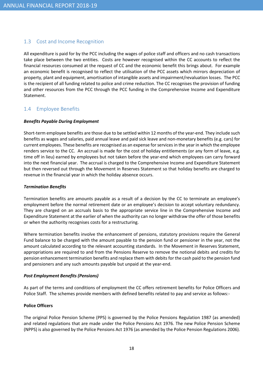### 1.3 Cost and Income Recognition

All expenditure is paid for by the PCC including the wages of police staff and officers and no cash transactions take place between the two entities. Costs are however recognised within the CC accounts to reflect the financial resources consumed at the request of CC and the economic benefit this brings about. For example an economic benefit is recognised to reflect the utilisation of the PCC assets which mirrors depreciation of property, plant and equipment, amortisation of intangible assets and impairment/revaluation losses. The PCC is the recipient of all funding related to police and crime reduction. The CC recognises the provision of funding and other resources from the PCC through the PCC funding in the Comprehensive Income and Expenditure Statement.

### 1.4 Employee Benefits

#### Benefits Payable During Employment

Short-term employee benefits are those due to be settled within 12 months of the year-end. They include such benefits as wages and salaries, paid annual leave and paid sick leave and non-monetary benefits (e.g. cars) for current employees. These benefits are recognised as an expense for services in the year in which the employee renders service to the CC. An accrual is made for the cost of holiday entitlements (or any form of leave, e.g. time off in lieu) earned by employees but not taken before the year-end which employees can carry forward into the next financial year. The accrual is charged to the Comprehensive Income and Expenditure Statement but then reversed out through the Movement in Reserves Statement so that holiday benefits are charged to revenue in the financial year in which the holiday absence occurs.

#### Termination Benefits

Termination benefits are amounts payable as a result of a decision by the CC to terminate an employee's employment before the normal retirement date or an employee's decision to accept voluntary redundancy. They are charged on an accruals basis to the appropriate service line in the Comprehensive Income and Expenditure Statement at the earlier of when the authority can no longer withdraw the offer of those benefits or when the authority recognises costs for a restructuring.

Where termination benefits involve the enhancement of pensions, statutory provisions require the General Fund balance to be charged with the amount payable to the pension fund or pensioner in the year, not the amount calculated according to the relevant accounting standards. In the Movement in Reserves Statement, appropriations are required to and from the Pensions Reserve to remove the notional debits and credits for pension enhancement termination benefits and replace them with debits for the cash paid to the pension fund and pensioners and any such amounts payable but unpaid at the year-end.

#### Post Employment Benefits (Pensions)

As part of the terms and conditions of employment the CC offers retirement benefits for Police Officers and Police Staff. The schemes provide members with defined benefits related to pay and service as follows:-

#### Police Officers

The original Police Pension Scheme (PPS) is governed by the Police Pensions Regulation 1987 (as amended) and related regulations that are made under the Police Pensions Act 1976. The new Police Pension Scheme (NPPS) is also governed by the Police Pensions Act 1976 (as amended by the Police Pension Regulations 2006).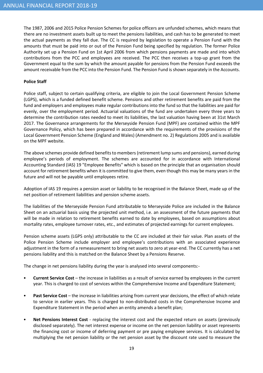The 1987, 2006 and 2015 Police Pension Schemes for police officers are unfunded schemes, which means that there are no investment assets built up to meet the pensions liabilities, and cash has to be generated to meet the actual payments as they fall due. The CC is required by legislation to operate a Pension Fund with the amounts that must be paid into or out of the Pension Fund being specified by regulation. The former Police Authority set up a Pension Fund on 1st April 2006 from which pensions payments are made and into which contributions from the PCC and employees are received. The PCC then receives a top-up grant from the Government equal to the sum by which the amount payable for pensions from the Pension Fund exceeds the amount receivable from the PCC into the Pension Fund. The Pension Fund is shown separately in the Accounts.

#### Police Staff

Police staff, subject to certain qualifying criteria, are eligible to join the Local Government Pension Scheme (LGPS), which is a funded defined benefit scheme. Pensions and other retirement benefits are paid from the fund and employers and employees make regular contributions into the fund so that the liabilities are paid for evenly, over the employment period. Actuarial valuations of the fund are undertaken every three years to determine the contribution rates needed to meet its liabilities, the last valuation having been at 31st March 2017. The Governance arrangements for the Merseyside Pension Fund (MPF) are contained within the MPF Governance Policy, which has been prepared in accordance with the requirements of the provisions of the Local Government Pension Scheme (England and Wales) (Amendment no. 2) Regulations 2005 and is available on the MPF website.

The above schemes provide defined benefits to members (retirement lump sums and pensions), earned during employee's periods of employment. The schemes are accounted for in accordance with International Accounting Standard (IAS) 19 "Employee Benefits" which is based on the principle that an organisation should account for retirement benefits when it is committed to give them, even though this may be many years in the future and will not be payable until employees retire.

Adoption of IAS 19 requires a pension asset or liability to be recognised in the Balance Sheet, made up of the net position of retirement liabilities and pension scheme assets.

The liabilities of the Merseyside Pension Fund attributable to Merseyside Police are included in the Balance Sheet on an actuarial basis using the projected unit method, i.e. an assessment of the future payments that will be made in relation to retirement benefits earned to date by employees, based on assumptions about mortality rates, employee turnover rates, etc., and estimates of projected earnings for current employees.

Pension scheme assets (LGPS only) attributable to the CC are included at their fair value. Plan assets of the Police Pension Scheme include employer and employee's contributions with an associated experience adjustment in the form of a remeasurement to bring net assets to zero at year-end. The CC currently has a net pensions liability and this is matched on the Balance Sheet by a Pensions Reserve.

The change in net pensions liability during the year is analysed into several components:-

- Current Service Cost the increase in liabilities as a result of service earned by employees in the current year. This is charged to cost of services within the Comprehensive Income and Expenditure Statement;
- Past Service Cost the increase in liabilities arising from current year decisions, the effect of which relate to service in earlier years. This is charged to non-distributed costs in the Comprehensive Income and Expenditure Statement in the period when an entity amends a benefit plan;
- Net Pensions Interest Cost replacing the interest cost and the expected return on assets (previously disclosed separately). The net interest expense or income on the net pension liability or asset represents the financing cost or income of deferring payment or pre paying employee services. It is calculated by multiplying the net pension liability or the net pension asset by the discount rate used to measure the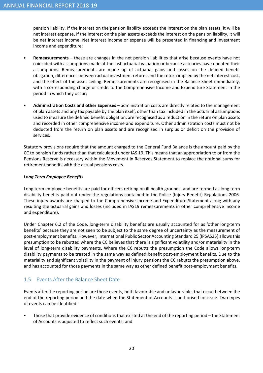pension liability. If the interest on the pension liability exceeds the interest on the plan assets, it will be net interest expense. If the interest on the plan assets exceeds the interest on the pension liability, it will be net interest income. Net interest income or expense will be presented in financing and investment income and expenditure;

- Remeasurements these are changes in the net pension liabilities that arise because events have not coincided with assumptions made at the last actuarial valuation or because actuaries have updated their assumptions. Remeasurements are made up of actuarial gains and losses on the defined benefit obligation, differences between actual investment returns and the return implied by the net interest cost, and the effect of the asset ceiling. Remeasurements are recognised in the Balance Sheet immediately, with a corresponding charge or credit to the Comprehensive Income and Expenditure Statement in the period in which they occur;
- Administration Costs and other Expenses administration costs are directly related to the management of plan assets and any tax payable by the plan itself, other than tax included in the actuarial assumptions used to measure the defined benefit obligation, are recognised as a reduction in the return on plan assets and recorded in other comprehensive income and expenditure. Other administration costs must not be deducted from the return on plan assets and are recognised in surplus or deficit on the provision of services.

Statutory provisions require that the amount charged to the General Fund Balance is the amount paid by the CC to pension funds rather than that calculated under IAS 19. This means that an appropriation to or from the Pensions Reserve is necessary within the Movement in Reserves Statement to replace the notional sums for retirement benefits with the actual pensions costs.

#### Long Term Employee Benefits

Long term employee benefits are paid for officers retiring on ill health grounds, and are termed as long term disability benefits paid out under the regulations contained in the Police (Injury Benefit) Regulations 2006. These injury awards are charged to the Comprehensive Income and Expenditure Statement along with any resulting the actuarial gains and losses (included in IAS19 remeasurements in other comprehensive income and expenditure).

Under Chapter 6.2 of the Code, long-term disability benefits are usually accounted for as 'other long-term benefits' because they are not seen to be subject to the same degree of uncertainty as the measurement of post-employment benefits. However, International Public Sector Accounting Standard 25 (IPSAS25) allows this presumption to be rebutted where the CC believes that there is significant volatility and/or materiality in the level of long-term disability payments. Where the CC rebutts the presumption the Code allows long-term disability payments to be treated in the same way as defined benefit post-employment benefits. Due to the materiality and significant volatility in the payment of injury pensions the CC rebutts the presumption above, and has accounted for those payments in the same way as other defined benefit post-employment benefits.

### 1.5 Events After the Balance Sheet Date

Events after the reporting period are those events, both favourable and unfavourable, that occur between the end of the reporting period and the date when the Statement of Accounts is authorised for issue. Two types of events can be identified:-

• Those that provide evidence of conditions that existed at the end of the reporting period – the Statement of Accounts is adjusted to reflect such events; and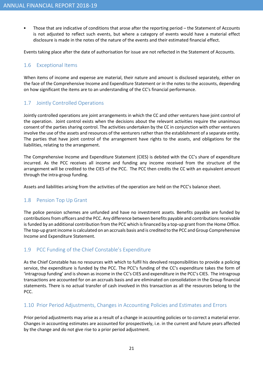• Those that are indicative of conditions that arose after the reporting period – the Statement of Accounts is not adjusted to reflect such events, but where a category of events would have a material effect disclosure is made in the notes of the nature of the events and their estimated financial effect.

Events taking place after the date of authorisation for issue are not reflected in the Statement of Accounts.

### 1.6 Exceptional Items

When items of income and expense are material, their nature and amount is disclosed separately, either on the face of the Comprehensive Income and Expenditure Statement or in the notes to the accounts, depending on how significant the items are to an understanding of the CC's financial performance.

### 1.7 Jointly Controlled Operations

Jointly controlled operations are joint arrangements in which the CC and other venturers have joint control of the operation. Joint control exists when the decisions about the relevant activities require the unanimous consent of the parties sharing control. The activities undertaken by the CC in conjunction with other venturers involve the use of the assets and resources of the venturers rather than the establishment of a separate entity. The parties that have joint control of the arrangement have rights to the assets, and obligations for the liabilities, relating to the arrangement.

The Comprehensive Income and Expenditure Statement (CIES) is debited with the CC's share of expenditure incurred. As the PCC receives all income and funding any income received from the structure of the arrangement will be credited to the CIES of the PCC. The PCC then credits the CC with an equivalent amount through the intra-group funding.

Assets and liabilities arising from the activities of the operation are held on the PCC's balance sheet.

### 1.8 Pension Top Up Grant

The police pension schemes are unfunded and have no investment assets. Benefits payable are funded by contributions from officers and the PCC. Any difference between benefits payable and contributions receivable is funded by an additional contribution from the PCC which is financed by a top-up grant from the Home Office. The top-up grant income is calculated on an accruals basis and is credited to the PCC and Group Comprehensive Income and Expenditure Statement.

### 1.9 PCC Funding of the Chief Constable's Expenditure

As the Chief Constable has no resources with which to fulfil his devolved responsibilities to provide a policing service, the expenditure is funded by the PCC. The PCC's funding of the CC's expenditure takes the form of 'intragroup funding' and is shown as income in the CC's CIES and expenditure in the PCC's CIES. The intragroup transactions are accounted for on an accruals basis and are eliminated on consolidation in the Group financial statements. There is no actual transfer of cash involved in this transaction as all the resources belong to the PCC.

### 1.10 Prior Period Adjustments, Changes in Accounting Policies and Estimates and Errors

Prior period adjustments may arise as a result of a change in accounting policies or to correct a material error. Changes in accounting estimates are accounted for prospectively, i.e. in the current and future years affected by the change and do not give rise to a prior period adjustment.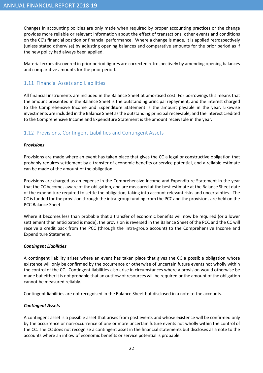Changes in accounting policies are only made when required by proper accounting practices or the change provides more reliable or relevant information about the effect of transactions, other events and conditions on the CC's financial position or financial performance. Where a change is made, it is applied retrospectively (unless stated otherwise) by adjusting opening balances and comparative amounts for the prior period as if the new policy had always been applied.

Material errors discovered in prior period figures are corrected retrospectively by amending opening balances and comparative amounts for the prior period.

### 1.11 Financial Assets and Liabilities

All financial instruments are included in the Balance Sheet at amortised cost. For borrowings this means that the amount presented in the Balance Sheet is the outstanding principal repayment, and the interest charged to the Comprehensive Income and Expenditure Statement is the amount payable in the year. Likewise investments are included in the Balance Sheet as the outstanding principal receivable, and the interest credited to the Comprehensive Income and Expenditure Statement is the amount receivable in the year.

### 1.12 Provisions, Contingent Liabilities and Contingent Assets

#### Provisions

Provisions are made where an event has taken place that gives the CC a legal or constructive obligation that probably requires settlement by a transfer of economic benefits or service potential, and a reliable estimate can be made of the amount of the obligation.

Provisions are charged as an expense in the Comprehensive Income and Expenditure Statement in the year that the CC becomes aware of the obligation, and are measured at the best estimate at the Balance Sheet date of the expenditure required to settle the obligation, taking into account relevant risks and uncertainties. The CC is funded for the provision through the intra-group funding from the PCC and the provisions are held on the PCC Balance Sheet.

Where it becomes less than probable that a transfer of economic benefits will now be required (or a lower settlement than anticipated is made), the provision is reversed in the Balance Sheet of the PCC and the CC will receive a credit back from the PCC (through the intra-group account) to the Comprehensive Income and Expenditure Statement.

#### Contingent Liabilities

A contingent liability arises where an event has taken place that gives the CC a possible obligation whose existence will only be confirmed by the occurrence or otherwise of uncertain future events not wholly within the control of the CC. Contingent liabilities also arise in circumstances where a provision would otherwise be made but either it is not probable that an outflow of resources will be required or the amount of the obligation cannot be measured reliably.

Contingent liabilities are not recognised in the Balance Sheet but disclosed in a note to the accounts.

#### Contingent Assets

A contingent asset is a possible asset that arises from past events and whose existence will be confirmed only by the occurrence or non-occurrence of one or more uncertain future events not wholly within the control of the CC. The CC does not recognise a contingent asset in the financial statements but discloses as a note to the accounts where an inflow of economic benefits or service potential is probable.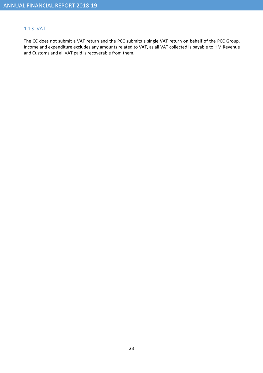### 1.13 VAT

The CC does not submit a VAT return and the PCC submits a single VAT return on behalf of the PCC Group. Income and expenditure excludes any amounts related to VAT, as all VAT collected is payable to HM Revenue and Customs and all VAT paid is recoverable from them.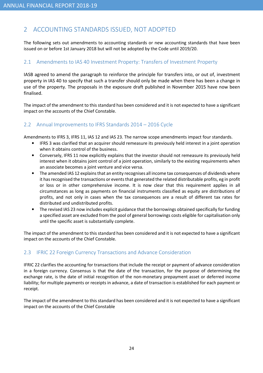# 2 ACCOUNTING STANDARDS ISSUED, NOT ADOPTED

The following sets out amendments to accounting standards or new accounting standards that have been issued on or before 1st January 2018 but will not be adopted by the Code until 2019/20.

### 2.1 Amendments to IAS 40 Investment Property: Transfers of Investment Property

IASB agreed to amend the paragraph to reinforce the principle for transfers into, or out of, investment property in IAS 40 to specify that such a transfer should only be made when there has been a change in use of the property. The proposals in the exposure draft published in November 2015 have now been finalised.

The impact of the amendment to this standard has been considered and it is not expected to have a significant impact on the accounts of the Chief Constable.

### 2.2 Annual Improvements to IFRS Standards 2014 – 2016 Cycle

Amendments to IFRS 3, IFRS 11, IAS 12 and IAS 23. The narrow scope amendments impact four standards.

- IFRS 3 was clarified that an acquirer should remeasure its previously held interest in a joint operation when it obtains control of the business.
- Conversely, IFRS 11 now explicitly explains that the investor should not remeasure its previously held interest when it obtains joint control of a joint operation, similarly to the existing requirements when an associate becomes a joint venture and vice versa.
- The amended IAS 12 explains that an entity recognises all income tax consequences of dividends where it has recognised the transactions or events that generated the related distributable profits, eg in profit or loss or in other comprehensive income. It is now clear that this requirement applies in all circumstances as long as payments on financial instruments classified as equity are distributions of profits, and not only in cases when the tax consequences are a result of different tax rates for distributed and undistributed profits.
- The revised IAS 23 now includes explicit guidance that the borrowings obtained specifically for funding a specified asset are excluded from the pool of general borrowings costs eligible for capitalisation only until the specific asset is substantially complete.

The impact of the amendment to this standard has been considered and it is not expected to have a significant impact on the accounts of the Chief Constable.

# 2.3 IFRIC 22 Foreign Currency Transactions and Advance Consideration

IFRIC 22 clarifies the accounting for transactions that include the receipt or payment of advance consideration in a foreign currency. Consensus is that the date of the transaction, for the purpose of determining the exchange rate, is the date of initial recognition of the non-monetary prepayment asset or deferred income liability; for multiple payments or receipts in advance, a date of transaction is established for each payment or receipt.

The impact of the amendment to this standard has been considered and it is not expected to have a significant impact on the accounts of the Chief Constable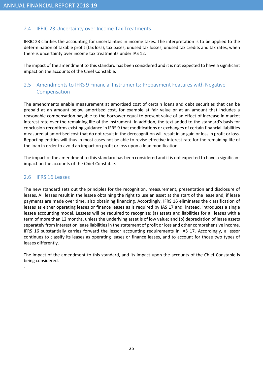## 2.4 IFRIC 23 Uncertainty over Income Tax Treatments

IFRIC 23 clarifies the accounting for uncertainties in income taxes. The interpretation is to be applied to the determination of taxable profit (tax loss), tax bases, unused tax losses, unused tax credits and tax rates, when there is uncertainty over income tax treatments under IAS 12.

The impact of the amendment to this standard has been considered and it is not expected to have a significant impact on the accounts of the Chief Constable.

# 2.5 Amendments to IFRS 9 Financial Instruments: Prepayment Features with Negative Compensation

The amendments enable measurement at amortised cost of certain loans and debt securities that can be prepaid at an amount below amortised cost, for example at fair value or at an amount that includes a reasonable compensation payable to the borrower equal to present value of an effect of increase in market interest rate over the remaining life of the instrument. In addition, the text added to the standard's basis for conclusion reconfirms existing guidance in IFRS 9 that modifications or exchanges of certain financial liabilities measured at amortised cost that do not result in the derecognition will result in an gain or loss in profit or loss. Reporting entities will thus in most cases not be able to revise effective interest rate for the remaining life of the loan in order to avoid an impact on profit or loss upon a loan modification.

The impact of the amendment to this standard has been considered and it is not expected to have a significant impact on the accounts of the Chief Constable.

#### 2.6 IFRS 16 Leases

.

The new standard sets out the principles for the recognition, measurement, presentation and disclosure of leases. All leases result in the lessee obtaining the right to use an asset at the start of the lease and, if lease payments are made over time, also obtaining financing. Accordingly, IFRS 16 eliminates the classification of leases as either operating leases or finance leases as is required by IAS 17 and, instead, introduces a single lessee accounting model. Lessees will be required to recognise: (a) assets and liabilities for all leases with a term of more than 12 months, unless the underlying asset is of low value; and (b) depreciation of lease assets separately from interest on lease liabilities in the statement of profit or loss and other comprehensive income. IFRS 16 substantially carries forward the lessor accounting requirements in IAS 17. Accordingly, a lessor continues to classify its leases as operating leases or finance leases, and to account for those two types of leases differently.

The impact of the amendment to this standard, and its impact upon the accounts of the Chief Constable is being considered.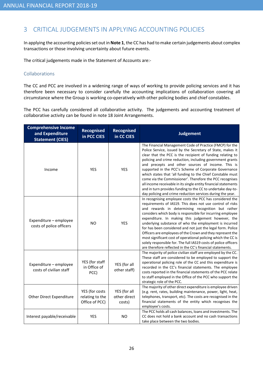# 3 CRITICAL JUDGEMENTS IN APPLYING ACCOUNTING POLICIES

In applying the accounting policies set out in Note 1, the CC has had to make certain judgements about complex transactions or those involving uncertainty about future events.

The critical judgements made in the Statement of Accounts are:-

#### Collaborations

The CC and PCC are involved in a widening range of ways of working to provide policing services and it has therefore been necessary to consider carefully the accounting implications of collaboration covering all circumstance where the Group is working co-operatively with other policing bodies and chief constables.

The PCC has carefully considered all collaborative activity. The judgements and accounting treatment of collaborative activity can be found in note 18 Joint Arrangements.

| <b>Comprehensive Income</b><br>and Expenditure<br><b>Statement (CIES)</b> | <b>Recognised</b><br>in PCC CIES                    | <b>Recognised</b><br>in CC CIES        | <b>Judgement</b>                                                                                                                                                                                                                                                                                                                                                                                                                                                                                                                                                                                                                                                                          |
|---------------------------------------------------------------------------|-----------------------------------------------------|----------------------------------------|-------------------------------------------------------------------------------------------------------------------------------------------------------------------------------------------------------------------------------------------------------------------------------------------------------------------------------------------------------------------------------------------------------------------------------------------------------------------------------------------------------------------------------------------------------------------------------------------------------------------------------------------------------------------------------------------|
| Income                                                                    | <b>YES</b>                                          | <b>YES</b>                             | The Financial Management Code of Practice (FMCP) for the<br>Police Service, issued by the Secretary of State, makes it<br>clear that the PCC is the recipient of funding relating to<br>policing and crime reduction, including government grants<br>and precepts and other sources of income. This is<br>supported in the PCC's Scheme of Corporate Governance<br>which states that 'all funding to the Chief Constable must<br>come via the Commissioner'. Therefore the PCC recognises<br>all income receivable in its single entity financial statements<br>and in turn provides funding to the CC to undertake day-to-<br>day policing and crime reduction services during the year. |
| Expenditure - employee<br>costs of police officers                        | <b>NO</b>                                           | <b>YES</b>                             | In recognising employee costs the PCC has considered the<br>requirements of IAS19. This does not use control of risks<br>and rewards in determining recognition but rather<br>considers which body is responsible for incurring employee<br>expenditure. In making this judgement however, the<br>underlying substance of who the employment is incurred<br>for has been considered and not just the legal form. Police<br>Officers are employees of the Crown and they represent the<br>most significant cost of operational policing which the CC is<br>solely responsible for. The full IAS19 costs of police officers<br>are therefore reflected in the CC's financial statements.    |
| Expenditure - employee<br>costs of civilian staff                         | YES (for staff<br>in Office of<br>PCC)              | YES (for all<br>other staff)           | The majority of police civilian staff are employed by the CC.<br>These staff are considered to be employed to support the<br>operational policing role of the CC and this expenditure is<br>recorded in the CC's financial statements. The employee<br>costs reported in the financial statements of the PCC relate<br>to staff employed in the Office of the PCC who support the<br>strategic role of the PCC.                                                                                                                                                                                                                                                                           |
| <b>Other Direct Expenditure</b>                                           | YES (for costs<br>relating to the<br>Office of PCC) | YES (for all<br>other direct<br>costs) | The majority of other direct expenditure is employee driven<br>(e.g. rent, rates, building maintenance, power, light, heat,<br>telephones, transport, etc). The costs are recognised in the<br>financial statements of the entity which recognises the<br>employee's costs.                                                                                                                                                                                                                                                                                                                                                                                                               |
| Interest payable/receivable                                               | YES                                                 | <b>NO</b>                              | The PCC holds all cash balances, loans and investments. The<br>CC does not hold a bank account and no cash transactions<br>take place between the two bodies.                                                                                                                                                                                                                                                                                                                                                                                                                                                                                                                             |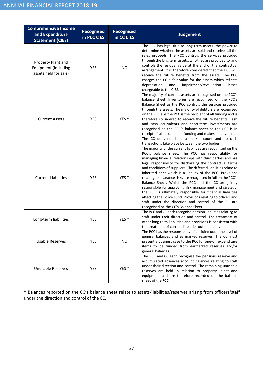| <b>Comprehensive Income</b><br>and Expenditure<br><b>Statement (CIES)</b> | Recognised<br>in PCC CIES | <b>Recognised</b><br>in CC CIES | <b>Judgement</b>                                                                                                                                                                                                                                                                                                                                                                                                                                                                                                                                                                                                                                                                                                                                                                                          |
|---------------------------------------------------------------------------|---------------------------|---------------------------------|-----------------------------------------------------------------------------------------------------------------------------------------------------------------------------------------------------------------------------------------------------------------------------------------------------------------------------------------------------------------------------------------------------------------------------------------------------------------------------------------------------------------------------------------------------------------------------------------------------------------------------------------------------------------------------------------------------------------------------------------------------------------------------------------------------------|
| Property Plant and<br>Equipment (including<br>assets held for sale)       | YES                       | NO.                             | The PCC has legal title to long term assets, the power to<br>determine whether the assets are sold and receives all the<br>sales proceeds. The PCC controls the services provided<br>through the long term assets, who they are provided to, and<br>controls the residual value at the end of the contractual<br>arrangement. It is therefore considered that the PCC will<br>receive the future benefits from the assets. The PCC<br>charges the CC a fair value for the assets which reflects<br>impairment/revaluation<br>depreciation<br>and<br>losses<br>chargeable to the CIES.                                                                                                                                                                                                                     |
| <b>Current Assets</b>                                                     | <b>YES</b>                | YES <sup>*</sup>                | The majority of current assets are recognised on the PCC's<br>balance sheet. Inventories are recognised on the PCC's<br>Balance Sheet as the PCC controls the services provided<br>through the assets. The majority of debtors are recognised<br>on the PCC's as the PCC is the recipient of all funding and is<br>therefore considered to receive the future benefits. Cash<br>and cash equivalents and short-term investments are<br>recognised on the PCC's balance sheet as the PCC is in<br>receipt of all income and funding and makes all payments.<br>The CC does not hold a bank account and no cash<br>transactions take place between the two bodies.                                                                                                                                          |
| <b>Current Liabilities</b>                                                | <b>YES</b>                | YES <sup>*</sup>                | The majority of the current liabilities are recognised on the<br>PCC's balance sheet. The PCC has responsibility for<br>managing financial relationships with third parties and has<br>legal responsibility for discharging the contractual terms<br>and conditions of suppliers. The deferred liabilities relate to<br>inherited debt which is a liability of the PCC. Provisions<br>relating to insurance risks are recognised in full on the PCC's<br>Balance Sheet. Whilst the PCC and the CC are jointly<br>responsible for approving risk management and strategy,<br>the PCC is ultimately responsible for financial liabilities<br>affecting the Police Fund. Provisions relating to officers and<br>staff under the direction and control of the CC are<br>recognised on the CC's Balance Sheet. |
| Long-term liabilities                                                     | <b>YES</b>                | YES <sup>*</sup>                | The PCC and CC each recognise pension liabilities relating to<br>staff under their direction and control. The treatment of<br>other long term liabilities and provisions is consistent with<br>the treatment of current liabilities outlined above.                                                                                                                                                                                                                                                                                                                                                                                                                                                                                                                                                       |
| <b>Usable Reserves</b>                                                    | YES                       | NO.                             | The PCC has the responsibility of deciding upon the level of<br>general balances and earmarked reserves. The CC must<br>present a business case to the PCC for one-off expenditure<br>items to be funded from earmarked reserves and/or<br>general balances.                                                                                                                                                                                                                                                                                                                                                                                                                                                                                                                                              |
| <b>Unusable Reserves</b>                                                  | YES                       | YES <sup>*</sup>                | The PCC and CC each recognise the pensions reserve and<br>accumulated absences account balances relating to staff<br>under their direction and control. The remaining unusable<br>reserves are held in relation to property, plant and<br>equipment and are therefore recorded on the balance<br>sheet of the PCC.                                                                                                                                                                                                                                                                                                                                                                                                                                                                                        |

\* Balances reported on the CC's balance sheet relate to assets/liabilities/reserves arising from officers/staff under the direction and control of the CC.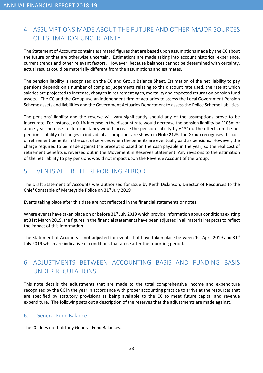# 4 ASSUMPTIONS MADE ABOUT THE FUTURE AND OTHER MAJOR SOURCES OF ESTIMATION UNCERTAINTY

The Statement of Accounts contains estimated figures that are based upon assumptions made by the CC about the future or that are otherwise uncertain. Estimations are made taking into account historical experience, current trends and other relevant factors. However, because balances cannot be determined with certainty, actual results could be materially different from the assumptions and estimates.

The pension liability is recognised on the CC and Group Balance Sheet. Estimation of the net liability to pay pensions depends on a number of complex judgements relating to the discount rate used, the rate at which salaries are projected to increase, changes in retirement ages, mortality and expected returns on pension fund assets. The CC and the Group use an independent firm of actuaries to assess the Local Government Pension Scheme assets and liabilities and the Government Actuaries Department to assess the Police Scheme liabilities.

The pensions' liability and the reserve will vary significantly should any of the assumptions prove to be inaccurate. For instance, a 0.1% increase in the discount rate would decrease the pension liability by £105m or a one year increase in life expectancy would increase the pension liability by £131m. The effects on the net pensions liability of changes in individual assumptions are shown in Note 21.9. The Group recognises the cost of retirement benefits in the cost of services when the benefits are eventually paid as pensions. However, the charge required to be made against the precept is based on the cash payable in the year, so the real cost of retirement benefits is reversed out in the Movement in Reserves Statement. Any revisions to the estimation of the net liability to pay pensions would not impact upon the Revenue Account of the Group.

# 5 EVENTS AFTER THE REPORTING PERIOD

The Draft Statement of Accounts was authorised for issue by Keith Dickinson, Director of Resources to the Chief Constable of Merseyside Police on 31st July 2019.

Events taking place after this date are not reflected in the financial statements or notes.

Where events have taken place on or before 31<sup>st</sup> July 2019 which provide information about conditions existing at 31st March 2019, the figures in the financial statements have been adjusted in all material respects to reflect the impact of this information.

The Statement of Accounts is not adjusted for events that have taken place between 1st April 2019 and 31st July 2019 which are indicative of conditions that arose after the reporting period.

# 6 ADJUSTMENTS BETWEEN ACCOUNTING BASIS AND FUNDING BASIS UNDER REGULATIONS

This note details the adjustments that are made to the total comprehensive income and expenditure recognised by the CC in the year in accordance with proper accounting practice to arrive at the resources that are specified by statutory provisions as being available to the CC to meet future capital and revenue expenditure. The following sets out a description of the reserves that the adjustments are made against.

### 6.1 General Fund Balance

The CC does not hold any General Fund Balances.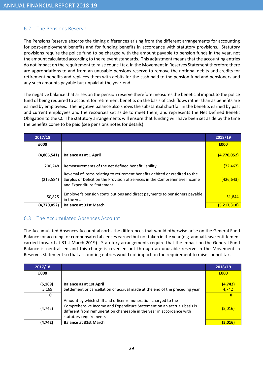# 6.2 The Pensions Reserve

The Pensions Reserve absorbs the timing differences arising from the different arrangements for accounting for post-employment benefits and for funding benefits in accordance with statutory provisions. Statutory provisions require the police fund to be charged with the amount payable to pension funds in the year, not the amount calculated according to the relevant standards. This adjustment means that the accounting entries do not impact on the requirement to raise council tax. In the Movement in Reserves Statement therefore there are appropriations to and from an unusable pensions reserve to remove the notional debits and credits for retirement benefits and replaces them with debits for the cash paid to the pension fund and pensioners and any such amounts payable but unpaid at the year-end.

The negative balance that arises on the pension reserve therefore measures the beneficial impact to the police fund of being required to account for retirement benefits on the basis of cash flows rather than as benefits are earned by employees. The negative balance also shows the substantial shortfall in the benefits earned by past and current employees and the resources set aside to meet them, and represents the Net Defined Benefit Obligation to the CC. The statutory arrangements will ensure that funding will have been set aside by the time the benefits come to be paid (see pensions notes for details).

| 2017/18     |                                                                                                                                                                                          | 2018/19          |
|-------------|------------------------------------------------------------------------------------------------------------------------------------------------------------------------------------------|------------------|
| £000        |                                                                                                                                                                                          | £000             |
| (4,805,541) | <b>Balance as at 1 April</b>                                                                                                                                                             | (4,770,052)      |
| 200,248     | Remeasurements of the net defined benefit liability                                                                                                                                      | (72, 467)        |
| (215, 584)  | Reversal of items relating to retirement benefits debited or credited to the<br>Surplus or Deficit on the Provision of Services in the Comprehensive Income<br>and Expenditure Statement | <u>(426,643)</u> |
| 50,825      | Employer's pension contributions and direct payments to pensioners payable<br>in the year                                                                                                | 51,844           |
| (4,770,052) | <b>Balance at 31st March</b>                                                                                                                                                             | (5,217,318)      |

# 6.3 The Accumulated Absences Account

The Accumulated Absences Account absorbs the differences that would otherwise arise on the General Fund Balance for accruing for compensated absences earned but not taken in the year (e.g. annual leave entitlement carried forward at 31st March 2019). Statutory arrangements require that the impact on the General Fund Balance is neutralised and this charge is reversed out through an unusable reserve in the Movement in Reserves Statement so that accounting entries would not impact on the requirement to raise council tax.

| 2017/18  |                                                                                                                                                                                                                                            | 2018/19  |
|----------|--------------------------------------------------------------------------------------------------------------------------------------------------------------------------------------------------------------------------------------------|----------|
| £000     |                                                                                                                                                                                                                                            | £000     |
| (5, 169) | <b>Balance as at 1st April</b>                                                                                                                                                                                                             | (4, 742) |
| 5,169    | Settlement or cancellation of accrual made at the end of the preceding year                                                                                                                                                                | 4,742    |
| 0        |                                                                                                                                                                                                                                            | 0        |
| (4, 742) | Amount by which staff and officer remuneration charged to the<br>Comprehensive Income and Expenditure Statement on an accruals basis is<br>different from remuneration chargeable in the year in accordance with<br>statutory requirements | (5,016)  |
| (4,742)  | <b>Balance at 31st March</b>                                                                                                                                                                                                               | (5,016)  |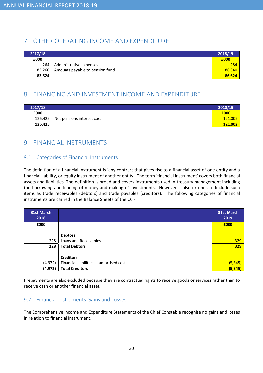# 7 OTHER OPERATING INCOME AND EXPENDITURE

| 2017/18 |                                 | 2018/19 |
|---------|---------------------------------|---------|
| £000    |                                 | £000    |
| 264     | Administrative expenses         | 284     |
| 83,260  | Amounts payable to pension fund | 86,340  |
| 83,524  |                                 | 86,624  |

# 8 FINANCING AND INVESTMENT INCOME AND EXPENDITURE

| 2017/18 |                            | 2018/19 |
|---------|----------------------------|---------|
| £000    |                            | £000    |
| 126,425 | Net pensions interest cost | 121,002 |
| 126,425 |                            | 121,002 |

# 9 FINANCIAL INSTRUMENTS

### 9.1 Categories of Financial Instruments

The definition of a financial instrument is 'any contract that gives rise to a financial asset of one entity and a financial liability, or equity instrument of another entity'. The term 'financial instrument' covers both financial assets and liabilities. The definition is broad and covers instruments used in treasury management including the borrowing and lending of money and making of investments. However it also extends to include such items as trade receivables (debtors) and trade payables (creditors). The following categories of financial instruments are carried in the Balance Sheets of the CC:-

| <b>31st March</b><br>2018 |                                         | <b>31st March</b><br>2019 |
|---------------------------|-----------------------------------------|---------------------------|
| £000                      |                                         | £000                      |
|                           |                                         |                           |
|                           | <b>Debtors</b>                          |                           |
| 228                       | Loans and Receivables                   | 329                       |
| 228                       | <b>Total Debtors</b>                    | 329                       |
|                           |                                         |                           |
|                           | <b>Creditors</b>                        |                           |
| (4, 972)                  | Financial liabilities at amortised cost | (5, 345)                  |
| (4, 972)                  | <b>Total Creditors</b>                  | (5, 345)                  |

Prepayments are also excluded because they are contractual rights to receive goods or services rather than to receive cash or another financial asset.

# 9.2 Financial Instruments Gains and Losses

The Comprehensive Income and Expenditure Statements of the Chief Constable recognise no gains and losses in relation to financial instrument.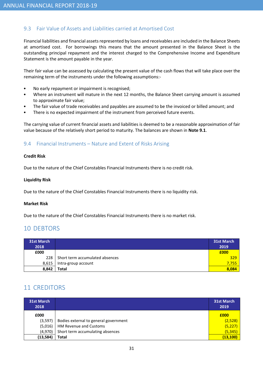## 9.3 Fair Value of Assets and Liabilities carried at Amortised Cost

Financial liabilities and financial assets represented by loans and receivables are included in the Balance Sheets at amortised cost. For borrowings this means that the amount presented in the Balance Sheet is the outstanding principal repayment and the interest charged to the Comprehensive Income and Expenditure Statement is the amount payable in the year.

Their fair value can be assessed by calculating the present value of the cash flows that will take place over the remaining term of the instruments under the following assumptions:-

- No early repayment or impairment is recognised;
- Where an instrument will mature in the next 12 months, the Balance Sheet carrying amount is assumed to approximate fair value;
- The fair value of trade receivables and payables are assumed to be the invoiced or billed amount; and
- There is no expected impairment of the instrument from perceived future events.

The carrying value of current financial assets and liabilities is deemed to be a reasonable approximation of fair value because of the relatively short period to maturity. The balances are shown in Note 9.1.

### 9.4 Financial Instruments – Nature and Extent of Risks Arising

#### Credit Risk

Due to the nature of the Chief Constables Financial Instruments there is no credit risk.

#### Liquidity Risk

Due to the nature of the Chief Constables Financial Instruments there is no liquidity risk.

#### Market Risk

Due to the nature of the Chief Constables Financial Instruments there is no market risk.

# 10 DEBTORS

| <b>31st March</b><br>2018 |                                 | <b>31st March</b><br>2019 |
|---------------------------|---------------------------------|---------------------------|
| £000                      |                                 | £000                      |
| 228 l                     | Short term accumulated absences | 329                       |
| 8,615                     | Intra-group account             | 7,755                     |
| 8,842                     | <b>Total</b>                    | 8,084                     |

# 11 CREDITORS

| <b>31st March</b><br>2018 |                                       | <b>31st March</b><br>2019 |
|---------------------------|---------------------------------------|---------------------------|
| £000                      |                                       | £000                      |
| (3,597)                   | Bodies external to general government | (2,528)                   |
| (5,016)                   | HM Revenue and Customs                | (5, 227)                  |
| (4,970)                   | Short term accumulating absences      | (5, 345)                  |
| (13, 584)                 | <b>Total</b>                          | (13, 100)                 |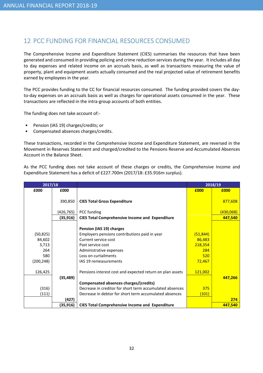# 12 PCC FUNDING FOR FINANCIAL RESOURCES CONSUMED

The Comprehensive Income and Expenditure Statement (CIES) summarises the resources that have been generated and consumed in providing policing and crime reduction services during the year. It includes all day to day expenses and related income on an accruals basis, as well as transactions measuring the value of property, plant and equipment assets actually consumed and the real projected value of retirement benefits earned by employees in the year.

The PCC provides funding to the CC for financial resources consumed. The funding provided covers the dayto-day expenses on an accruals basis as well as charges for operational assets consumed in the year. These transactions are reflected in the intra-group accounts of both entities.

The funding does not take account of:-

- Pension (IAS 19) charges/credits; or
- Compensated absences charges/credits.

These transactions, recorded in the Comprehensive Income and Expenditure Statement, are reversed in the Movement in Reserves Statement and charged/credited to the Pensions Reserve and Accumulated Absences Account in the Balance Sheet.

As the PCC funding does not take account of these charges or credits, the Comprehensive Income and Expenditure Statement has a deficit of £227.700m (2017/18: £35.916m surplus).

| 2017/18                                                  |            |                                                                                                                                                                                                    |                                                        | 2018/19          |
|----------------------------------------------------------|------------|----------------------------------------------------------------------------------------------------------------------------------------------------------------------------------------------------|--------------------------------------------------------|------------------|
| £000                                                     | £000       |                                                                                                                                                                                                    | £000                                                   | £000             |
|                                                          | 390,850    | <b>CIES Total Gross Expenditure</b>                                                                                                                                                                |                                                        | 877,608          |
|                                                          | (426, 765) | PCC funding                                                                                                                                                                                        |                                                        | <u>(430,068)</u> |
|                                                          | (35, 916)  | <b>CIES Total Comprehensive Income and Expenditure</b>                                                                                                                                             |                                                        | 447,540          |
| (50, 825)<br>84,602<br>3,713<br>264<br>580<br>(200, 248) |            | Pension (IAS 19) charges<br>Employers pensions contributions paid in year<br>Current service cost<br>Past service cost<br>Administrative expenses<br>Loss on curtailments<br>IAS 19 remeasurements | (51, 844)<br>86,483<br>218,354<br>284<br>520<br>72,467 |                  |
| 126,425                                                  | (35, 489)  | Pensions interest cost and expected return on plan assets<br>Compensated absences charges/(credits)                                                                                                | 121,002                                                | 447,266          |
| (316)                                                    |            | Decrease in creditor for short term accumulated absences                                                                                                                                           | 375                                                    |                  |
| (111)                                                    |            | Decrease in debtor for short term accumulated absences                                                                                                                                             | (101)                                                  |                  |
|                                                          | (427)      |                                                                                                                                                                                                    |                                                        | 274              |
|                                                          | (35, 916)  | <b>CIES Total Comprehensive Income and Expenditure</b>                                                                                                                                             |                                                        | 447,540          |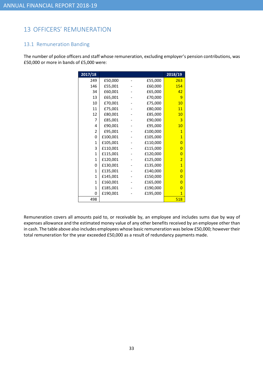# 13 OFFICERS' REMUNERATION

### 13.1 Remuneration Banding

The number of police officers and staff whose remuneration, excluding employer's pension contributions, was £50,000 or more in bands of £5,000 were:

| 2017/18        |          |          | 2018/19        |
|----------------|----------|----------|----------------|
| 249            | £50,000  | £55,000  | 263            |
| 146            | £55,001  | £60,000  | 154            |
| 34             | £60,001  | £65,000  | 42             |
| 13             | £65,001  | £70,000  | 9              |
| 10             | £70,001  | £75,000  | 10             |
| 11             | £75,001  | £80,000  | 11             |
| 12             | £80,001  | £85,000  | 10             |
| 7              | £85,001  | £90,000  | 3              |
| 4              | £90,001  | £95,000  | 10             |
| $\overline{2}$ | £95,001  | £100,000 | $\overline{1}$ |
| 0              | £100,001 | £105,000 | $\overline{1}$ |
| 1              | £105,001 | £110,000 | $\overline{0}$ |
| 3              | £110,001 | £115,000 | $\overline{0}$ |
| $\mathbf{1}$   | £115,001 | £120,000 | $\overline{0}$ |
| $\mathbf{1}$   | £120,001 | £125,000 | $\overline{2}$ |
| 0              | £130,001 | £135,000 | $\overline{1}$ |
| $\mathbf{1}$   | £135,001 | £140,000 | $\overline{0}$ |
| $\mathbf{1}$   | £145,001 | £150,000 | $\overline{0}$ |
| $\mathbf{1}$   | £160,001 | £165,000 | $\overline{0}$ |
| $\mathbf{1}$   | £185,001 | £190,000 | $\overline{0}$ |
| 0              | £190,001 | £195,000 | $\mathbf{1}$   |
| 498            |          |          | 518            |

Remuneration covers all amounts paid to, or receivable by, an employee and includes sums due by way of expenses allowance and the estimated money value of any other benefits received by an employee other than in cash. The table above also includes employees whose basic remuneration was below £50,000; however their total remuneration for the year exceeded £50,000 as a result of redundancy payments made.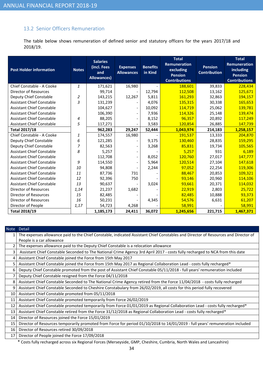# 13.2 Senior Officers Remuneration

The table below shows remuneration of defined senior and statutory officers for the years 2017/18 and 2018/19.

| <b>Post Holder information</b>   | <b>Notes</b> | <b>Salaries</b><br>(incl. Fees<br>and<br><b>Allowances</b> ) | <b>Expenses</b><br><b>Allowances</b> | <b>Benefits</b><br>in Kind | <b>Total</b><br><b>Remuneration</b><br>excluding<br><b>Pension</b><br><b>Contributions</b> | <b>Pension</b><br><b>Contribution</b> | <b>Total</b><br><b>Remuneration</b><br>including<br><b>Pension</b><br><b>Contributions</b> |
|----------------------------------|--------------|--------------------------------------------------------------|--------------------------------------|----------------------------|--------------------------------------------------------------------------------------------|---------------------------------------|--------------------------------------------------------------------------------------------|
| Chief Constable - A Cooke        | 1            | 171,621                                                      | 16,980                               |                            | 188,601                                                                                    | 39,833                                | 228,434                                                                                    |
| <b>Director of Resources</b>     |              | 99,714                                                       |                                      | 12,794                     | 112,508                                                                                    | 13,162                                | 125,671                                                                                    |
| Deputy Chief Constable           | 2            | 143,215                                                      | 12,267                               | 5,811                      | 161,293                                                                                    | 32,863                                | 194,157                                                                                    |
| <b>Assistant Chief Constable</b> | 3            | 131,239                                                      |                                      | 4,076                      | 135,315                                                                                    | 30,338                                | 165,653                                                                                    |
| <b>Assistant Chief Constable</b> |              | 104,627                                                      |                                      | 10,092                     | 114,719                                                                                    | 25,062                                | 139,781                                                                                    |
| <b>Assistant Chief Constable</b> |              | 106,390                                                      |                                      | 7,936                      | 114,326                                                                                    | 25,148                                | 139,474                                                                                    |
| <b>Assistant Chief Constable</b> | 4            | 88,205                                                       |                                      | 8,152                      | 96,357                                                                                     | 20,892                                | 117,249                                                                                    |
| <b>Assistant Chief Constable</b> | 5            | 117,271                                                      |                                      | 3,583                      | 120,854                                                                                    | 26,885                                | 147,739                                                                                    |
| <b>Total 2017/18</b>             |              | 962,283                                                      | 29,247                               | 52,444                     | 1,043,974                                                                                  | 214,183                               | 1,258,157                                                                                  |
| Chief Constable - A Cooke        | 1            | 174,557                                                      | 16,980                               |                            | 191,537                                                                                    | 13,333                                | 204,870                                                                                    |
| Deputy Chief Constable           | 6            | 121,285                                                      |                                      | 9,175                      | 130,460                                                                                    | 28,835                                | 159,295                                                                                    |
| Deputy Chief Constable           | 7            | 82,563                                                       |                                      | 3,268                      | 85,831                                                                                     | 19,734                                | 105,565                                                                                    |
| <b>Assistant Chief Constable</b> | 8            | 5,257                                                        |                                      |                            | 5,257                                                                                      | 931                                   | 6,189                                                                                      |
| <b>Assistant Chief Constable</b> |              | 112,708                                                      |                                      | 8,052                      | 120,760                                                                                    | 27,017                                | 147,777                                                                                    |
| <b>Assistant Chief Constable</b> | 9            | 114,550                                                      |                                      | 5,964                      | 120,514                                                                                    | 27,104                                | 147,618                                                                                    |
| <b>Assistant Chief Constable</b> | 10           | 94,808                                                       |                                      | 2,244                      | 97,052                                                                                     | 22,254                                | 119,306                                                                                    |
| <b>Assistant Chief Constable</b> | 11           | 87,736                                                       | 731                                  |                            | 88,467                                                                                     | 20,853                                | 109,321                                                                                    |
| <b>Assistant Chief Constable</b> | 12           | 92,396                                                       | 750                                  |                            | 93,146                                                                                     | 20,960                                | 114,106                                                                                    |
| <b>Assistant Chief Constable</b> | 13           | 90,637                                                       |                                      | 3,024                      | 93,661                                                                                     | 20,371                                | 114,032                                                                                    |
| <b>Director of Resources</b>     | 1,14         | 21,237                                                       | 1,682                                |                            | 22,919                                                                                     | 2,803                                 | 25,722                                                                                     |
| <b>Director of Resources</b>     | 15           | 82,485                                                       |                                      |                            | 82,485                                                                                     | 10,888                                | 93,373                                                                                     |
| Director of Resources            | 16           | 50,231                                                       |                                      | 4,345                      | 54,576                                                                                     | 6,631                                 | 61,207                                                                                     |
| Director of People               | 1,17         | 54,723                                                       | 4,268                                |                            | 58,991                                                                                     |                                       | 58,991                                                                                     |
| <b>Total 2018/19</b>             |              | 1,185,173                                                    | 24,411                               | 36,072                     | 1,245,656                                                                                  | 221,715                               | 1,467,371                                                                                  |

| <b>Note</b> | <b>Detail</b>                                                                                                                      |
|-------------|------------------------------------------------------------------------------------------------------------------------------------|
|             | The expenses allowance paid to the Chief Constable, indicated Assistant Chief Constables and Director of Resources and Director of |
|             | People is a car allowance                                                                                                          |
|             | The expenses allowance paid to the Deputy Chief Constable is a relocation allowance                                                |
| 3           | Assistant Chief Constable Seconded to The National Crime Agency 3rd April 2017 - costs fully recharged to NCA from this date       |
| 4           | Assistant Chief Constable joined the Force from 15th May 2017                                                                      |
| 5           | Assistant Chief Constable joined the Force from 15th May 2017 as Regional Collaboration Lead - costs fully recharged*              |
| 6           | Deputy Chief Constable promoted from the post of Assistant Chief Constable 05/11/2018 - full years' remuneration included          |
| 7           | Deputy Chief Constable resigned from the Force 04/11/2018                                                                          |
| 8           | Assistant Chief Constable Seconded to The National Crime Agency retired from the Force 11/04/2018 - costs fully recharged          |
| 9           | Assistant Chief Constable Seconded to Cheshire Constabulary from 26/02/2019, all costs for this period fully recovered             |
| 10          | Assistant Chief Constable promoted from 05/11/2018                                                                                 |
| 11          | Assistant Chief Constable promoted temporarily from Force 26/02/2019                                                               |
| 12          | Assistant Chief Constable promoted temporarily from Force 01/01/2019 as Regional Collaboration Lead - costs fully recharged*       |
| 13          | Assistant Chief Constable retired from the Force 31/12/2018 as Regional Collaboration Lead - costs fully recharged*                |
| 14          | Director of Resources joined the Force 15/01/2019                                                                                  |
| 15          | Director of Resources temporarily promoted from Force for period 01/10/2018 to 14/01/2019 - full years' remuneration included      |
| 16          | Director of Resources retired 30/09/2018                                                                                           |
| 17          | Director of People joined the Force 17/09/2018                                                                                     |

\* Costs fully recharged across six Regional Forces (Merseyside, GMP, Cheshire, Cumbria, North Wales and Lancashire)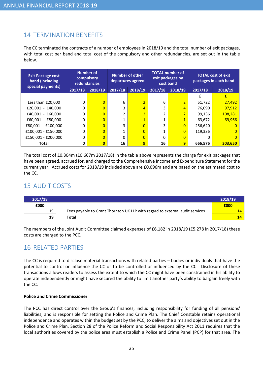# 14 TERMINATION BENEFITS

The CC terminated the contracts of a number of employees in 2018/19 and the total number of exit packages, with total cost per band and total cost of the compulsory and other redundancies, are set out in the table below.

| <b>Exit Package cost</b><br>band (including<br>special payments) |         | <b>Number of</b><br>compulsory<br><b>redundancies</b> | Number of other<br>departures agreed |                | <b>TOTAL number of</b><br>exit packages by<br>cost band |                | <b>TOTAL cost of exit</b><br>packages in each band |                |
|------------------------------------------------------------------|---------|-------------------------------------------------------|--------------------------------------|----------------|---------------------------------------------------------|----------------|----------------------------------------------------|----------------|
|                                                                  | 2017/18 | 2018/19                                               | 2017/18                              | 2018/19        | 2017/18                                                 | 2018/19        | 2017/18                                            | 2018/19        |
|                                                                  |         |                                                       |                                      |                |                                                         |                |                                                    | Ł              |
| Less than £20,000                                                | 0       | $\overline{0}$                                        | 6                                    | $\overline{2}$ | 6                                                       | $\overline{2}$ | 51,722                                             | 27,492         |
| $£20,001 - £40,000$                                              | 0       | $\overline{0}$                                        | 3                                    | $\overline{4}$ | 3                                                       | 4              | 76,090                                             | 97,912         |
| $£40.001 - £60.000$                                              | 0       | $\overline{0}$                                        |                                      | $\overline{2}$ |                                                         | $\overline{2}$ | 99,136                                             | 108,281        |
| $£60,001 - £80,000$                                              | 0       | $\overline{0}$                                        |                                      | $\overline{1}$ |                                                         | $\overline{1}$ | 63,672                                             | 69,966         |
| £80,001 - £100,000                                               | 0       | $\overline{0}$                                        | 3                                    | $\overline{0}$ | 3                                                       | $\overline{0}$ | 256,620                                            | $\Omega$       |
| £100,001 - £150,000                                              | 0       | $\overline{0}$                                        |                                      | $\overline{0}$ |                                                         | $\overline{0}$ | 119,336                                            | $\overline{0}$ |
| £150,001 - £200,000                                              | 0       | $\overline{0}$                                        | $\Omega$                             | $\overline{0}$ | 0                                                       | $\overline{0}$ | 0                                                  | $\overline{0}$ |
| Total                                                            | 0       | $\overline{\mathbf{0}}$                               | 16                                   | 9              | 16                                                      | 9              | 666,576                                            | 303,650        |

The total cost of £0.304m (£0.667m 2017/18) in the table above represents the charge for exit packages that have been agreed, accrued for, and charged to the Comprehensive Income and Expenditure Statement for the current year. Accrued costs for 2018/19 included above are £0.096m and are based on the estimated cost to the CC.

# 15 AUDIT COSTS

| 2017/18 |                                                                              | 2018/19 |
|---------|------------------------------------------------------------------------------|---------|
| £000    |                                                                              | £000    |
| 19      | Fees payable to Grant Thornton UK LLP with regard to external audit services | 14      |
| 19      | Total                                                                        | 14      |

The members of the Joint Audit Committee claimed expenses of £6,182 in 2018/19 (£5,278 in 2017/18) these costs are charged to the PCC.

# 16 RELATED PARTIES

The CC is required to disclose material transactions with related parties – bodies or individuals that have the potential to control or influence the CC or to be controlled or influenced by the CC. Disclosure of these transactions allows readers to assess the extent to which the CC might have been constrained in his ability to operate independently or might have secured the ability to limit another party's ability to bargain freely with the CC.

#### Police and Crime Commissioner

The PCC has direct control over the Group's finances, including responsibility for funding of all pensions' liabilities, and is responsible for setting the Police and Crime Plan. The Chief Constable retains operational independence and operates within the budget set by the PCC, to deliver the aims and objectives set out in the Police and Crime Plan. Section 28 of the Police Reform and Social Responsibility Act 2011 requires that the local authorities covered by the police area must establish a Police and Crime Panel (PCP) for that area. The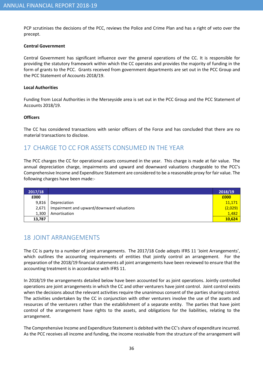PCP scrutinises the decisions of the PCC, reviews the Police and Crime Plan and has a right of veto over the precept.

#### Central Government

Central Government has significant influence over the general operations of the CC. It is responsible for providing the statutory framework within which the CC operates and provides the majority of funding in the form of grants to the PCC. Grants received from government departments are set out in the PCC Group and the PCC Statement of Accounts 2018/19.

#### Local Authorities

Funding from Local Authorities in the Merseyside area is set out in the PCC Group and the PCC Statement of Accounts 2018/19.

#### **Officers**

The CC has considered transactions with senior officers of the Force and has concluded that there are no material transactions to disclose.

# 17 CHARGE TO CC FOR ASSETS CONSUMED IN THE YEAR

The PCC charges the CC for operational assets consumed in the year. This charge is made at fair value. The annual depreciation charge, impairments and upward and downward valuations chargeable to the PCC's Comprehensive Income and Expenditure Statement are considered to be a reasonable proxy for fair value. The following charges have been made:-

| 2017/18 |                                           | 2018/19 |
|---------|-------------------------------------------|---------|
| £000    |                                           | £000    |
| 9,816   | Depreciation                              | 11,171  |
| 2,671   | Impairment and upward/downward valuations | (2,029) |
| 1,300   | Amortisation                              | 1,482   |
| 13,787  |                                           | 10,624  |

# 18 JOINT ARRANGEMENTS

The CC is party to a number of joint arrangements. The 2017/18 Code adopts IFRS 11 'Joint Arrangements', which outlines the accounting requirements of entities that jointly control an arrangement. For the preparation of the 2018/19 financial statements all joint arrangements have been reviewed to ensure that the accounting treatment is in accordance with IFRS 11.

In 2018/19 the arrangements detailed below have been accounted for as joint operations. Jointly controlled operations are joint arrangements in which the CC and other venturers have joint control. Joint control exists when the decisions about the relevant activities require the unanimous consent of the parties sharing control. The activities undertaken by the CC in conjunction with other venturers involve the use of the assets and resources of the venturers rather than the establishment of a separate entity. The parties that have joint control of the arrangement have rights to the assets, and obligations for the liabilities, relating to the arrangement.

The Comprehensive Income and Expenditure Statement is debited with the CC's share of expenditure incurred. As the PCC receives all income and funding, the income receivable from the structure of the arrangement will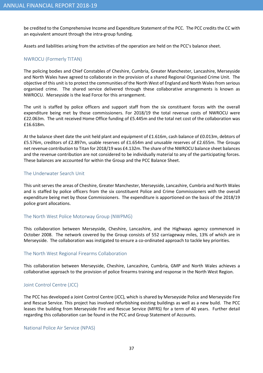be credited to the Comprehensive Income and Expenditure Statement of the PCC. The PCC credits the CC with an equivalent amount through the intra-group funding.

Assets and liabilities arising from the activities of the operation are held on the PCC's balance sheet.

#### NWROCU (Formerly TITAN)

The policing bodies and Chief Constables of Cheshire, Cumbria, Greater Manchester, Lancashire, Merseyside and North Wales have agreed to collaborate in the provision of a shared Regional Organised Crime Unit. The objective of this unit is to protect the communities of the North West of England and North Wales from serious organised crime. The shared service delivered through these collaborative arrangements is known as NWROCU. Merseyside is the lead Force for this arrangement.

The unit is staffed by police officers and support staff from the six constituent forces with the overall expenditure being met by those commissioners. For 2018/19 the total revenue costs of NWROCU were £22.063m. The unit received Home Office funding of £5.445m and the total net cost of the collaboration was £16.618m.

At the balance sheet date the unit held plant and equipment of £1.616m, cash balance of £0.013m, debtors of £5.576m, creditors of £2.897m, usable reserves of £1.654m and unusable reserves of £2.655m. The Groups net revenue contribution to Titan for 2018/19 was £4.132m. The share of the NWROCU balance sheet balances and the revenue contribution are not considered to be individually material to any of the participating forces. These balances are accounted for within the Group and the PCC Balance Sheet.

#### The Underwater Search Unit

This unit serves the areas of Cheshire, Greater Manchester, Merseyside, Lancashire, Cumbria and North Wales and is staffed by police officers from the six constituent Police and Crime Commissioners with the overall expenditure being met by those Commissioners. The expenditure is apportioned on the basis of the 2018/19 police grant allocations.

#### The North West Police Motorway Group (NWPMG)

This collaboration between Merseyside, Cheshire, Lancashire, and the Highways agency commenced in October 2008. The network covered by the Group consists of 552 carriageway miles, 13% of which are in Merseyside. The collaboration was instigated to ensure a co-ordinated approach to tackle key priorities.

#### The North West Regional Firearms Collaboration

This collaboration between Merseyside, Cheshire, Lancashire, Cumbria, GMP and North Wales achieves a collaborative approach to the provision of police firearms training and response in the North West Region.

#### Joint Control Centre (JCC)

The PCC has developed a Joint Control Centre (JCC), which is shared by Merseyside Police and Merseyside Fire and Rescue Service. This project has involved refurbishing existing buildings as well as a new build. The PCC leases the building from Merseyside Fire and Rescue Service (MFRS) for a term of 40 years. Further detail regarding this collaboration can be found in the PCC and Group Statement of Accounts.

#### National Police Air Service (NPAS)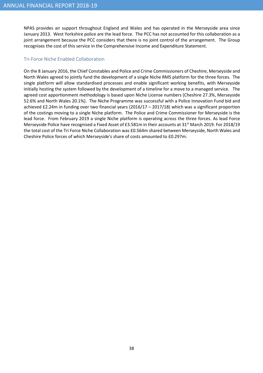NPAS provides air support throughout England and Wales and has operated in the Merseyside area since January 2013. West Yorkshire police are the lead force. The PCC has not accounted for this collaboration as a joint arrangement because the PCC considers that there is no joint control of the arrangement. The Group recognises the cost of this service in the Comprehensive Income and Expenditure Statement.

#### Tri-Force Niche Enabled Collaboration

On the 8 January 2016, the Chief Constables and Police and Crime Commissioners of Cheshire, Merseyside and North Wales agreed to jointly fund the development of a single Niche RMS platform for the three forces. The single platform will allow standardised processes and enable significant working benefits, with Merseyside initially hosting the system followed by the development of a timeline for a move to a managed service. The agreed cost apportionment methodology is based upon Niche License numbers (Cheshire 27.3%, Merseyside 52.6% and North Wales 20.1%). The Niche Programme was successful with a Police Innovation Fund bid and achieved £2.24m in funding over two financial years (2016/17 – 2017/18) which was a significant proportion of the costings moving to a single Niche platform. The Police and Crime Commissioner for Merseyside is the lead force. From February 2019 a single Niche platform is operating across the three forces. As lead Force Merseyside Police have recognised a Fixed Asset of £3.581m in their accounts at 31<sup>st</sup> March 2019. For 2018/19 the total cost of the Tri Force Niche Collaboration was £0.564m shared between Merseyside, North Wales and Cheshire Police forces of which Merseyside's share of costs amounted to £0.297m.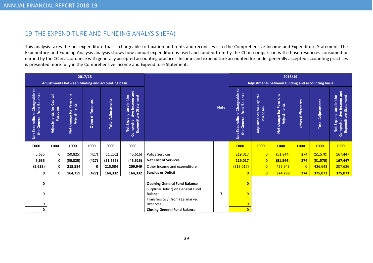# 19 THE EXPENDITURE AND FUNDING ANALYSIS (EFA)

This analysis takes the net expenditure that is chargeable to taxation and rents and reconciles it to the Comprehensive Income and Expenditure Statement. The Expenditure and Funding Analysis analysis shows how annual expenditure is used and funded from by the CC in comparison with those resources consumed or earned by the CC in accordance with generally accepted accounting practices. Income and expenditure accounted for under generally accepted accounting practices is presented more fully in the Comprehensive Income and Expenditure Statement.

|                                                           | 2017/18                             |                                                              |                   |                          |                                                                                       |                                                                          |                                                  |                                                              |                                               | 2018/19                                |                      |                          |                                                                             |
|-----------------------------------------------------------|-------------------------------------|--------------------------------------------------------------|-------------------|--------------------------|---------------------------------------------------------------------------------------|--------------------------------------------------------------------------|--------------------------------------------------|--------------------------------------------------------------|-----------------------------------------------|----------------------------------------|----------------------|--------------------------|-----------------------------------------------------------------------------|
|                                                           |                                     | Adjustments between funding and accounting basis             |                   |                          |                                                                                       |                                                                          | Adjustments between funding and accounting basis |                                                              |                                               |                                        |                      |                          |                                                                             |
| Net Expenditure Chargeable to<br>the General Fund Balance | Adjustments for Capital<br>Purposes | Pensions<br>Adjustments<br>change for <b>F</b><br><b>Det</b> | Other differences | <b>Total Adjustments</b> | Comprehensive Income and<br><b>Expenditure Statement</b><br>in the<br>Net Expenditure |                                                                          | <b>Note</b>                                      | Chargeable to<br>the General Fund Balance<br>Net Expenditure | Capital<br>Adjustments for<br><b>Purposes</b> | Net change for Pensions<br>Adjustments | differences<br>Other | <b>Total Adjustments</b> | Comprehensive Income and<br>Expenditure Statement<br>Net Expenditure in the |
| £000                                                      | £000                                | £000                                                         | £000              | £000                     | £000                                                                                  |                                                                          |                                                  | £000                                                         | £000                                          | £000                                   | £000                 | £000                     | £000                                                                        |
| 5,635                                                     | 0                                   | (50, 825)                                                    | (427)             | (51, 252)                | (45, 616)                                                                             | <b>Police Services</b>                                                   |                                                  | 219,017                                                      | $\overline{0}$                                | (51, 844)                              | 274                  | (51, 570)                | 167,447                                                                     |
| 5,635                                                     | 0                                   | (50, 825)                                                    | (427)             | (51, 252)                | (45, 616)                                                                             | <b>Net Cost of Services</b>                                              |                                                  | 219,017                                                      | $\mathbf{0}$                                  | (51, 844)                              | 274                  | (51, 570)                | 167,447                                                                     |
| (5, 635)                                                  | 0                                   | 215,584                                                      | 0                 | 215,584                  | 209,949                                                                               | Other Income and expenditure                                             |                                                  | (219, 017)                                                   | $\overline{0}$                                | 426,643                                | $\overline{0}$       | 426,643                  | 207,626                                                                     |
| 0                                                         | 0                                   | 164,759                                                      | (427)             | 164,332                  | 164,332                                                                               | <b>Surplus or Deficit</b>                                                |                                                  | $\mathbf{0}$                                                 | $\mathbf{0}$                                  | 374,799                                | 274                  | 375,073                  | 375,073                                                                     |
| 0                                                         |                                     |                                                              |                   |                          |                                                                                       | <b>Opening General Fund Balance</b><br>Surplus/(Deficit) on General Fund |                                                  | $\mathbf{0}$                                                 |                                               |                                        |                      |                          |                                                                             |
| 0                                                         |                                     |                                                              |                   |                          |                                                                                       | <b>Balance</b><br>Transfers to / (from) Earmarked                        | 7                                                | $\overline{0}$                                               |                                               |                                        |                      |                          |                                                                             |
| 0                                                         |                                     |                                                              |                   |                          |                                                                                       | Reserves                                                                 |                                                  | $\overline{0}$                                               |                                               |                                        |                      |                          |                                                                             |
| 0                                                         |                                     |                                                              |                   |                          |                                                                                       | <b>Closing General Fund Balance</b>                                      |                                                  | $\mathbf{0}$                                                 |                                               |                                        |                      |                          |                                                                             |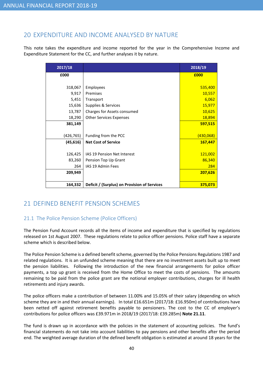# 20 EXPENDITURE AND INCOME ANALYSED BY NATURE

This note takes the expenditure and income reported for the year in the Comprehensive Income and Expenditure Statement for the CC, and further analyses it by nature.

| 2017/18    |                                              | 2018/19   |
|------------|----------------------------------------------|-----------|
| £000       |                                              | £000      |
|            |                                              |           |
| 318,067    | <b>Employees</b>                             | 535,400   |
| 9,917      | Premises                                     | 10,557    |
| 5,451      | Transport                                    | 6,062     |
| 15,636     | Supplies & Services                          | 15,977    |
| 13,787     | Charges for Assets consumed                  | 10,625    |
| 18,290     | <b>Other Services Expenses</b>               | 18,894    |
| 381,149    |                                              | 597,515   |
|            |                                              |           |
| (426, 765) | Funding from the PCC                         | (430,068) |
| (45, 616)  | <b>Net Cost of Service</b>                   | 167,447   |
|            |                                              |           |
| 126,425    | IAS 19 Pension Net Interest                  | 121,002   |
| 83,260     | Pension Top Up Grant                         | 86,340    |
| 264        | IAS 19 Admin Fees                            | 284       |
| 209,949    |                                              | 207,626   |
|            |                                              |           |
| 164,332    | Deficit / (Surplus) on Provision of Services | 375,073   |

# 21 DEFINED BENEFIT PENSION SCHEMES

# 21.1 The Police Pension Scheme (Police Officers)

The Pension Fund Account records all the items of income and expenditure that is specified by regulations released on 1st August 2007. These regulations relate to police officer pensions. Police staff have a separate scheme which is described below.

The Police Pension Scheme is a defined benefit scheme, governed by the Police Pensions Regulations 1987 and related regulations. It is an unfunded scheme meaning that there are no investment assets built up to meet the pension liabilities. Following the introduction of the new financial arrangements for police officer payments, a top up grant is received from the Home Office to meet the costs of pensions. The amounts remaining to be paid from the police grant are the notional employer contributions, charges for ill health retirements and injury awards.

The police officers make a contribution of between 11.00% and 15.05% of their salary (depending on which scheme they are in and their annual earnings). In total £16.651m (2017/18: £16.950m) of contributions have been netted off against retirement benefits payable to pensioners. The cost to the CC of employer's contributions for police officers was £39.971m in 2018/19 (2017/18: £39.285m) Note 21.11.

The fund is drawn up in accordance with the policies in the statement of accounting policies. The fund's financial statements do not take into account liabilities to pay pensions and other benefits after the period end. The weighted average duration of the defined benefit obligation is estimated at around 18 years for the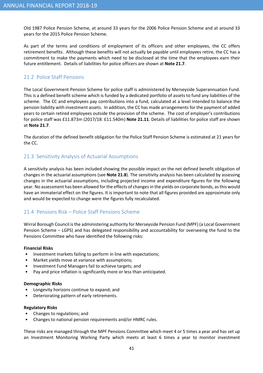Old 1987 Police Pension Scheme, at around 33 years for the 2006 Police Pension Scheme and at around 33 years for the 2015 Police Pension Scheme.

As part of the terms and conditions of employment of its officers and other employees, the CC offers retirement benefits. Although these benefits will not actually be payable until employees retire, the CC has a commitment to make the payments which need to be disclosed at the time that the employees earn their future entitlement. Details of liabilities for police officers are shown at Note 21.7.

### 21.2 Police Staff Pensions

The Local Government Pension Scheme for police staff is administered by Merseyside Superannuation Fund. This is a defined benefit scheme which is funded by a dedicated portfolio of assets to fund any liabilities of the scheme. The CC and employees pay contributions into a fund, calculated at a level intended to balance the pension liability with investment assets. In addition, the CC has made arrangements for the payment of added years to certain retired employees outside the provision of the scheme. The cost of employer's contributions for police staff was £11.873m (2017/18: £11.540m) Note 21.11. Details of liabilities for police staff are shown at Note 21.7.

The duration of the defined benefit obligation for the Police Staff Pension Scheme is estimated at 21 years for the CC.

### 21.3 Sensitivity Analysis of Actuarial Assumptions

A sensitivity analysis has been included showing the possible impact on the net defined benefit obligation of changes in the actuarial assumptions (see **Note 21.8**). The sensitivity analysis has been calculated by assessing changes in the actuarial assumptions, including projected income and expenditure figures for the following year. No assessment has been allowed for the effects of changes in the yields on corporate bonds, as this would have an immaterial effect on the figures. It is important to note that all figures provided are approximate only and would be expected to change were the figures fully recalculated.

## 21.4 Pensions Risk – Police Staff Pensions Scheme

Wirral Borough Council is the administering authority for Merseyside Pension Fund (MPF) (a Local Government Pension Scheme – LGPS) and has delegated responsibility and accountability for overseeing the fund to the Pensions Committee who have identified the following risks:

#### Financial Risks

- Investment markets failing to perform in line with expectations;
- Market yields move at variance with assumptions;
- Investment Fund Managers fail to achieve targets; and
- Pay and price inflation is significantly more or less than anticipated.

#### Demographic Risks

- Longevity horizons continue to expand; and
- Deteriorating pattern of early retirements.

#### Regulatory Risks

- Changes to regulations; and
- Changes to national pension requirements and/or HMRC rules.

These risks are managed through the MPF Pensions Committee which meet 4 or 5 times a year and has set up an Investment Monitoring Working Party which meets at least 6 times a year to monitor investment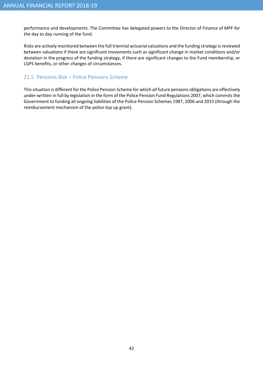performance and developments. The Committee has delegated powers to the Director of Finance of MPF for the day to day running of the fund.

Risks are actively monitored between the full triennial actuarial valuations and the funding strategy is reviewed between valuations if there are significant movements such as significant change in market conditions and/or deviation in the progress of the funding strategy, if there are significant changes to the Fund membership, or LGPS benefits, or other changes of circumstances.

### 21.5 Pensions Risk – Police Pensions Scheme

This situation is different for the Police Pension Scheme for which all future pensions obligations are effectively under-written in full by legislation in the form of the Police Pension Fund Regulations 2007, which commits the Government to funding all ongoing liabilities of the Police Pension Schemes 1987, 2006 and 2015 (through the reimbursement mechanism of the police top up grant).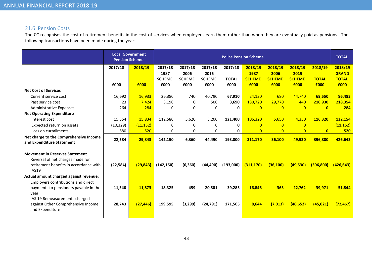# 21.6 Pension Costs

The CC recognises the cost of retirement benefits in the cost of services when employees earn them rather than when they are eventually paid as pensions. The following transactions have been made during the year:

|                                                                                                                                     | <b>Pension Scheme</b> | <b>Local Government</b> |               |               |               |              | <b>Police Pension Scheme</b> |                |                |              | <b>TOTAL</b> |
|-------------------------------------------------------------------------------------------------------------------------------------|-----------------------|-------------------------|---------------|---------------|---------------|--------------|------------------------------|----------------|----------------|--------------|--------------|
|                                                                                                                                     | 2017/18               | 2018/19                 | 2017/18       | 2017/18       | 2017/18       | 2017/18      | 2018/19                      | 2018/19        | 2018/19        | 2018/19      | 2018/19      |
|                                                                                                                                     |                       |                         | 1987          | 2006          | 2015          |              | 1987                         | 2006           | 2015           |              | <b>GRAND</b> |
|                                                                                                                                     |                       |                         | <b>SCHEME</b> | <b>SCHEME</b> | <b>SCHEME</b> | <b>TOTAL</b> | <b>SCHEME</b>                | <b>SCHEME</b>  | <b>SCHEME</b>  | <b>TOTAL</b> | <b>TOTAL</b> |
|                                                                                                                                     | £000                  | £000                    | £000          | £000          | £000          | £000         | £000                         | £000           | £000           | £000         | £000         |
| <b>Net Cost of Services</b>                                                                                                         |                       |                         |               |               |               |              |                              |                |                |              |              |
| Current service cost                                                                                                                | 16,692                | 16,933                  | 26,380        | 740           | 40,790        | 67,910       | 24,130                       | 680            | 44,740         | 69.550       | 86,483       |
| Past service cost                                                                                                                   | 23                    | 7,424                   | 3,190         | $\mathbf{0}$  | 500           | 3,690        | 180,720                      | 29,770         | 440            | 210,930      | 218,354      |
| <b>Administrative Expenses</b>                                                                                                      | 264                   | 284                     | 0             | $\Omega$      | $\Omega$      | 0            | $\Omega$                     | $\Omega$       | $\Omega$       | $\mathbf{0}$ | 284          |
| <b>Net Operating Expenditure</b>                                                                                                    |                       |                         |               |               |               |              |                              |                |                |              |              |
| Interest cost                                                                                                                       | 15,354                | 15,834                  | 112,580       | 5,620         | 3,200         | 121,400      | 106,320                      | 5,650          | 4,350          | 116,320      | 132,154      |
| Expected return on assets                                                                                                           | (10, 329)             | (11, 152)               | 0             | 0             | 0             | 0            | $\overline{0}$               | $\overline{0}$ | $\overline{0}$ |              | (11, 152)    |
| Loss on curtailments                                                                                                                | 580                   | 520                     | 0             | 0             | 0             | 0            | $\overline{0}$               | $\overline{0}$ | $\overline{0}$ | $\mathbf{0}$ | 520          |
| Net charge to the Comprehensive Income<br>and Expenditure Statement                                                                 | 22,584                | 29,843                  | 142,150       | 6,360         | 44,490        | 193,000      | 311,170                      | 36,100         | 49,530         | 396,800      | 426,643      |
| <b>Movement in Reserves Statement</b><br>Reversal of net charges made for<br>retirement benefits in accordance with<br><b>IAS19</b> | (22, 584)             | (29, 843)               | (142, 150)    | (6, 360)      | (44, 490)     | (193,000)    | (311.170)                    | (36, 100)      | (49,530)       | (396, 800)   | (426, 643)   |
| Actual amount charged against revenue:                                                                                              |                       |                         |               |               |               |              |                              |                |                |              |              |
| Employers contributions and direct<br>payments to pensioners payable in the<br>year                                                 | 11,540                | 11,873                  | 18,325        | 459           | 20,501        | 39,285       | 16,846                       | 363            | 22,762         | 39,971       | 51,844       |
| IAS 19 Remeasurements charged<br>against Other Comprehensive Income<br>and Expenditure                                              | 28,743                | (27, 446)               | 199,595       | (3,299)       | (24, 791)     | 171,505      | 8,644                        | (7, 013)       | (46, 652)      | (45, 021)    | (72, 467)    |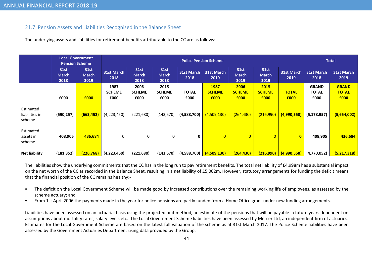# 21.7 Pension Assets and Liabilities Recognised in the Balance Sheet

The underlying assets and liabilities for retirement benefits attributable to the CC are as follows:

|                                       | Local Government<br><b>Pension Scheme</b> |                              |                               |                                     |                                     |                      | <b>Police Pension Scheme</b>         |                                     |                                     |                      |                                      | <b>Total</b>                         |
|---------------------------------------|-------------------------------------------|------------------------------|-------------------------------|-------------------------------------|-------------------------------------|----------------------|--------------------------------------|-------------------------------------|-------------------------------------|----------------------|--------------------------------------|--------------------------------------|
|                                       | 31st<br><b>March</b><br>2018              | 31st<br><b>March</b><br>2019 | <b>31st March</b><br>2018     | <b>31st</b><br><b>March</b><br>2018 | <b>31st</b><br><b>March</b><br>2018 | 31st March<br>2018   | 31st March<br>2019                   | <b>31st</b><br><b>March</b><br>2019 | <b>31st</b><br><b>March</b><br>2019 | 31st March<br>2019   | <b>31st March</b><br>2018            | 31st March<br>2019                   |
|                                       | £000                                      | £000                         | 1987<br><b>SCHEME</b><br>£000 | 2006<br><b>SCHEME</b><br>£000       | 2015<br><b>SCHEME</b><br>£000       | <b>TOTAL</b><br>£000 | <b>1987</b><br><b>SCHEME</b><br>£000 | 2006<br><b>SCHEME</b><br>£000       | 2015<br><b>SCHEME</b><br>£000       | <b>TOTAL</b><br>£000 | <b>GRAND</b><br><b>TOTAL</b><br>£000 | <b>GRAND</b><br><b>TOTAL</b><br>£000 |
| Estimated<br>liabilities in<br>scheme | (590, 257)                                | (663, 452)                   | (4,223,450)                   | (221,680)                           | (143, 570)                          | (4,588,700)          | (4,509,130)                          | (264, 430)                          | (216,990)                           | (4,990,550)          | (5, 178, 957)                        | (5,654,002)                          |
| Estimated<br>assets in<br>scheme      | 408,905                                   | 436,684                      | 0                             | 0                                   | 0                                   | 0                    | $\overline{0}$                       | $\overline{0}$                      | $\overline{0}$                      | $\mathbf{0}$         | 408,905                              | 436,684                              |
| <b>Net liability</b>                  | (181, 352)                                | (226, 768)                   | (4,223,450)                   | (221, 680)                          | (143,570)                           | (4,588,700)          | (4,509,130)                          | (264, 430)                          | (216,990)                           | (4,990,550)          | 4,770,052)                           | (5,217,318)                          |

The liabilities show the underlying commitments that the CC has in the long run to pay retirement benefits. The total net liability of £4,998m has a substantial impact on the net worth of the CC as recorded in the Balance Sheet, resulting in a net liability of £5,002m. However, statutory arrangements for funding the deficit means that the financial position of the CC remains healthy:-

- • The deficit on the Local Government Scheme will be made good by increased contributions over the remaining working life of employees, as assessed by the scheme actuary; and
- •From 1st April 2006 the payments made in the year for police pensions are partly funded from a Home Office grant under new funding arrangements.

Liabilities have been assessed on an actuarial basis using the projected unit method, an estimate of the pensions that will be payable in future years dependent on assumptions about mortality rates, salary levels etc. The Local Government Scheme liabilities have been assessed by Mercer Ltd, an independent firm of actuaries. Estimates for the Local Government Scheme are based on the latest full valuation of the scheme as at 31st March 2017. The Police Scheme liabilities have been assessed by the Government Actuaries Department using data provided by the Group.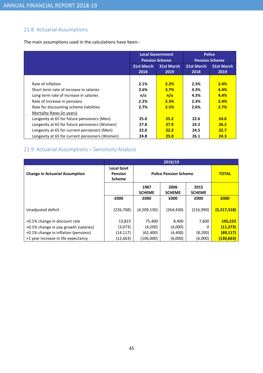# 21.8 Actuarial Assumptions

The main assumptions used in the calculations have been:-

|                                                |                           | <b>Local Government</b><br><b>Pension Scheme</b> |                           | <b>Police</b><br><b>Pension Scheme</b> |  |
|------------------------------------------------|---------------------------|--------------------------------------------------|---------------------------|----------------------------------------|--|
|                                                | <b>31st March</b><br>2018 | <b>31st March</b><br>2019                        | <b>31st March</b><br>2018 | <b>31st March</b><br>2019              |  |
|                                                |                           |                                                  |                           |                                        |  |
| Rate of inflation                              | 2.1%                      | 2.2%                                             | 2.3%                      | 2.4%                                   |  |
| Short term rate of increase in salaries        | 3.6%                      | 3.7%                                             | 4.3%                      | 4.4%                                   |  |
| Long term rate of increase in salaries         | n/a                       | n/a                                              | 4.3%                      | 4.4%                                   |  |
| Rate of increase in pensions                   | 2.2%                      | 2.3%                                             | 2.3%                      | 2.4%                                   |  |
| Rate for discounting scheme liabilities        | 2.7%                      | 2.5%                                             | 2.6%                      | 2.7%                                   |  |
| Mortality Rates (in years)                     |                           |                                                  |                           |                                        |  |
| Longevity at 65 for future pensioners (Men)    | 25.0                      | 25.2                                             | 22.6                      | 24.6                                   |  |
| Longevity at 65 for future pensioners (Women)  | 27.8                      | 27.9                                             | 24.2                      | 26.2                                   |  |
| Longevity at 65 for current pensioners (Men)   | 22.0                      | 22.2                                             | 24.5                      | 22.7                                   |  |
| Longevity at 65 for current pensioners (Women) | 24.8                      | 25.0                                             | 26.1                      | 24.3                                   |  |

# 21.9 Actuarial Assumptions – Sensitivity Analysis

|                                       | 2018/19                                              |                       |                              |                       |              |  |  |  |  |  |
|---------------------------------------|------------------------------------------------------|-----------------------|------------------------------|-----------------------|--------------|--|--|--|--|--|
| <b>Change in Actuarial Assumption</b> | <b>Local Govt</b><br><b>Pension</b><br><b>Scheme</b> |                       | <b>Police Pension Scheme</b> |                       | <b>TOTAL</b> |  |  |  |  |  |
|                                       |                                                      | 1987<br><b>SCHEME</b> | 2006<br><b>SCHEME</b>        | 2015<br><b>SCHEME</b> |              |  |  |  |  |  |
|                                       | £000                                                 | £000                  | £000                         | £000                  | £000         |  |  |  |  |  |
| Unadjusted deficit                    | (226, 768)                                           | (4,509,130)           | (264, 430)                   | (216,990)             | (5,217,318)  |  |  |  |  |  |
| +0.1% change in discount rate         | 13,823                                               | 75,400                | 8,400                        | 7,600                 | 105,223      |  |  |  |  |  |
| +0.1% change in pay growth (salaries) | (3,073)                                              | (4,200)               | (4,000)                      | 0                     | (11, 273)    |  |  |  |  |  |
| +0.1% change in inflation (pensions)  | (14, 117)                                            | (62, 400)             | (4,400)                      | (8,200)               | (89, 117)    |  |  |  |  |  |
| +1 year increase in life expectancy   | (12, 663)                                            | (106,000)             | (6,000)                      | (6,000)               | (130, 663)   |  |  |  |  |  |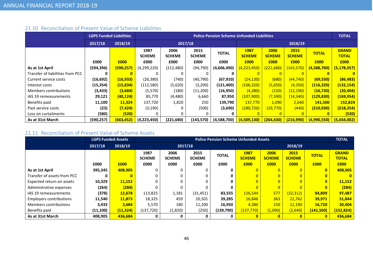# 21.10 Reconciliation of Present Value of Scheme Liabilities

|                                  |            | <b>LGPS Funded Liabilities</b> |                       |                       |                       | <b>Police Pension Scheme Unfunded Liabilities</b> |                       |                       |                       |              | <b>TOTAL</b>                 |
|----------------------------------|------------|--------------------------------|-----------------------|-----------------------|-----------------------|---------------------------------------------------|-----------------------|-----------------------|-----------------------|--------------|------------------------------|
|                                  | 2017/18    | 2018/19                        |                       | 2017/18               |                       |                                                   |                       |                       |                       |              |                              |
|                                  |            |                                | 1987<br><b>SCHEME</b> | 2006<br><b>SCHEME</b> | 2015<br><b>SCHEME</b> | <b>TOTAL</b>                                      | 1987<br><b>SCHEME</b> | 2006<br><b>SCHEME</b> | 2015<br><b>SCHEME</b> | <b>TOTAL</b> | <b>GRAND</b><br><b>TOTAL</b> |
|                                  | £000       | £000                           | £000                  | £000                  | £000                  | £000                                              | £000                  | £000                  | £000                  | £000         | £000                         |
| As at 1st April                  | (594,396)  | (590, 257)                     | (4,299,220)           | (212, 480)            | (94, 790)             | (4,606,490)                                       | (4, 223, 450)         | (221, 680)            | (143, 570)            | (4,588,700)  | (5, 178, 957)                |
| Transfer of liabilities from PCC | 0          |                                | 0                     |                       |                       |                                                   |                       |                       |                       |              | $\mathbf{0}$                 |
| Current service costs            | (16, 692)  | (16, 933)                      | (26, 380)             | (740)                 | (40, 790)             | (67, 910)                                         | (24, 130)             | (680)                 | (44, 740)             | (69, 550)    | (86, 483)                    |
| Interest costs                   | (15, 354)  | (15, 834)                      | (112,580)             | (5,620)               | (3,200)               | (121, 400)                                        | (106, 320)            | (5,650)               | (4,350)               | (116, 320)   | (132, 154)                   |
| Members contributions            | (3, 433)   | (3,684)                        | (5,570)               | (180)                 | (11,200)              | (16,950)                                          | (4, 380)              | (150)                 | (12, 190)             | (16, 720)    | (20, 404)                    |
| IAS 19 remeasurements            | 29,121     | (40, 124)                      | 85,770                | (4,480)               | 6,660                 | 87,950                                            | (107,900)             | (7,590)               | <u>(14,340)</u>       | (129, 830)   | (169, 954)                   |
| Benefits paid                    | 11,100     | 11,324                         | 137,720               | 1,820                 | 250                   | 139,790                                           | 137,770               | 1,090                 | 2,640                 | 141,500      | 152,824                      |
| Past service costs               | (23)       | (7, 424)                       | (3, 190)              |                       | (500)                 | (3,690)                                           | (180, 720)            | <u>(29,770)</u>       | (440)                 | (210,930)    | (218, 354)                   |
| Loss on curtailments             | (580)      | (520)                          |                       |                       |                       |                                                   |                       |                       |                       |              | (520)                        |
| As at 31st March                 | (590, 257) | (663, 452)                     | (4,223,450)           | (221, 680)            | (143,570)             | (4,588,700)                                       | (4,509,130)           | (264, 430)            | (216,990)             | (4,990,550)  | (5,654,002)                  |

# 21.11 Reconciliation of Present Value of Scheme Assets

|                                | <b>LGPS Funded Assets</b> |           |                       | <b>Police Pension Scheme Unfunded Assets</b> |                       |              |                       |                       |                       |              |                              |  |
|--------------------------------|---------------------------|-----------|-----------------------|----------------------------------------------|-----------------------|--------------|-----------------------|-----------------------|-----------------------|--------------|------------------------------|--|
|                                | 2017/18                   | 2018/19   |                       |                                              | 2017/18               |              |                       |                       |                       |              |                              |  |
|                                |                           |           | 1987<br><b>SCHEME</b> | 2006<br><b>SCHEME</b>                        | 2015<br><b>SCHEME</b> | <b>TOTAL</b> | 1987<br><b>SCHEME</b> | 2006<br><b>SCHEME</b> | 2015<br><b>SCHEME</b> | <b>TOTAL</b> | <b>GRAND</b><br><b>TOTAL</b> |  |
|                                | £000                      | £000      | £000                  | £000                                         | £000                  | £000         | £000                  | £000                  | £000                  | £000         | £000                         |  |
| As at 1st April                | 395,345                   | 408,905   | 0                     | 0                                            |                       |              |                       |                       |                       | $\bf{0}$     | 408,905                      |  |
| Transfer of assets from PCC    | 0                         |           | 0                     |                                              |                       |              |                       | $\overline{0}$        |                       |              | $\mathbf{0}$                 |  |
| Expected return on assets      | 10,329                    | 11,152    | 0                     |                                              |                       |              |                       | $\overline{0}$        |                       | $\bf{0}$     | 11,152                       |  |
| Administrative expenses        | (264)                     | (284)     | U                     | 0                                            |                       |              |                       | $\overline{0}$        |                       |              | (284)                        |  |
| IAS 19 remeasurements          | (378)                     | 12,678    | 113,825               | 1,181                                        | (31, 451)             | 83,555       | 116,544               | 577                   | (32, 312)             | 84,809       | 97,487                       |  |
| <b>Employers contributions</b> | 11,540                    | 11,873    | 18,325                | 459                                          | 20,501                | 39,285       | 16,846                | 363                   | 22.762                | 39,971       | 51,844                       |  |
| Members contributions          | 3,433                     | 3,684     | 5,570                 | 180                                          | 11,200                | 16,950       | 4,380                 | <b>150</b>            | 12,190                | 16,720       | 20,404                       |  |
| Benefits paid                  | (11, 100)                 | (11, 324) | (137,720)             | (1,820)                                      | (250)                 | (139,790)    | (137, 770)            | (1,090)               | (2,640)               | (141,500)    | (152, 824)                   |  |
| As at 31st March               | 408,905                   | 436,684   | 0                     | 0                                            |                       |              |                       |                       |                       |              | 436,684                      |  |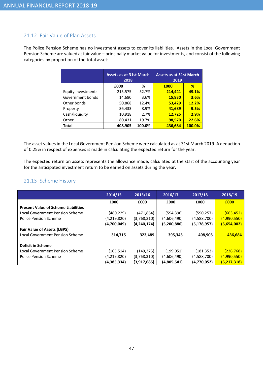### 21.12 Fair Value of Plan Assets

The Police Pension Scheme has no investment assets to cover its liabilities. Assets in the Local Government Pension Scheme are valued at fair value – principally market value for investments, and consist of the following categories by proportion of the total asset:

|                    | <b>Assets as at 31st March</b><br>2018 |        | <b>Assets as at 31st March</b><br>2019 |        |  |  |
|--------------------|----------------------------------------|--------|----------------------------------------|--------|--|--|
|                    | £000                                   | %      | £000                                   | %      |  |  |
| Equity investments | 215,575                                | 52.7%  | 214,441                                | 49.1%  |  |  |
| Government bonds   | 14,680                                 | 3.6%   | 15,830                                 | 3.6%   |  |  |
| Other bonds        | 50,868                                 | 12.4%  | 53,429                                 | 12.2%  |  |  |
| Property           | 36,433                                 | 8.9%   | 41,689                                 | 9.5%   |  |  |
| Cash/liquidity     | 10,918                                 | 2.7%   | 12,725                                 | 2.9%   |  |  |
| Other              | 80,431                                 | 19.7%  | 98,570                                 | 22.6%  |  |  |
| <b>Total</b>       | 408,905                                | 100.0% | 436,684                                | 100.0% |  |  |

The asset values in the Local Government Pension Scheme were calculated as at 31st March 2019. A deduction of 0.25% in respect of expenses is made in calculating the expected return for the year.

The expected return on assets represents the allowance made, calculated at the start of the accounting year for the anticipated investment return to be earned on assets during the year.

### 21.13 Scheme History

|                                            | 2014/15     | 2015/16       | 2016/17     | 2017/18       | 2018/19     |
|--------------------------------------------|-------------|---------------|-------------|---------------|-------------|
|                                            | £000        | £000          | £000        | £000          | £000        |
| <b>Present Value of Scheme Liabilities</b> |             |               |             |               |             |
| Local Government Pension Scheme            | (480, 229)  | (471, 864)    | (594, 396)  | (590, 257)    | (663, 452)  |
| <b>Police Pension Scheme</b>               | (4,219,820) | (3,768,310)   | (4,606,490) | (4,588,700)   | (4,990,550) |
|                                            | (4,700,049) | (4, 240, 174) | (5,200,886) | (5, 178, 957) | (5,654,002) |
| <b>Fair Value of Assets (LGPS)</b>         |             |               |             |               |             |
| <b>Local Government Pension Scheme</b>     | 314,715     | 322,489       | 395,345     | 408,905       | 436,684     |
|                                            |             |               |             |               |             |
| <b>Deficit in Scheme</b>                   |             |               |             |               |             |
| Local Government Pension Scheme            | (165, 514)  | (149, 375)    | (199, 051)  | (181, 352)    | (226, 768)  |
| Police Pension Scheme                      | (4,219,820) | (3,768,310)   | (4,606,490) | (4,588,700)   | (4,990,550) |
|                                            | (4,385,334) | (3,917,685)   | (4,805,541) | (4,770,052)   | (5,217,318) |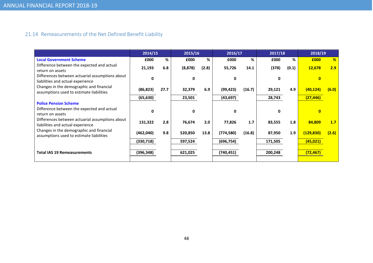# 21.14 Remeasurements of the Net Defined Benefit Liability

|            |      |          |       |              |        |              |       | 2018/19        |                  |
|------------|------|----------|-------|--------------|--------|--------------|-------|----------------|------------------|
| £000       | %    | £000     | %     | £000         | %      | £000         | %     | £000           | %                |
| 21,193     | 6.8  | (8, 878) | (2.8) | 55,726       | 14.1   | (378)        | (0.1) | 12,678         | 2.9              |
| U          |      | ŋ        |       | 0            |        | 0            |       |                |                  |
| (86, 823)  | 27.7 | 32,379   | 6.9   | (99, 423)    | (16.7) | 29,121       | 4.9   | (40,124)       | (6.0)            |
| (65, 630)  |      | 23,501   |       | (43, 697)    |        | 28,743       |       | (27, 446)      |                  |
|            |      |          |       |              |        |              |       |                |                  |
| U          |      | O        |       | $\mathbf{0}$ |        | <sup>0</sup> |       | $\overline{0}$ |                  |
| 131,322    | 2.8  | 76,674   | 2.0   | 77,826       | 1.7    | 83,555       | 1.8   | 84,809         | 1.7 <sub>2</sub> |
| (462,040)  | 9.8  | 520,850  | 13.8  | (774, 580)   | (16.8) | 87,950       | 1.9   | (129, 830)     | (2.6)            |
| (330, 718) |      | 597,524  |       | (696, 754)   |        | 171,505      |       | (45, 021)      |                  |
| (396, 348) |      | 621,025  |       | (740, 451)   |        | 200,248      |       | (72, 467)      |                  |
|            |      | 2014/15  |       | 2015/16      |        | 2016/17      |       | 2017/18        |                  |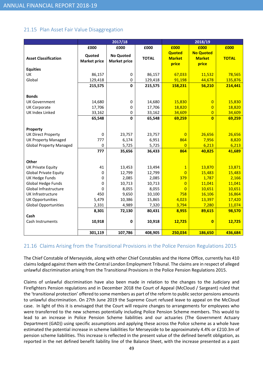### 21.15 Plan Asset Fair Value Disaggregation

|                                |                               | 2017/18                                 |              |                                         | 2018/19                                    |              |
|--------------------------------|-------------------------------|-----------------------------------------|--------------|-----------------------------------------|--------------------------------------------|--------------|
|                                | £000                          | £000                                    | £000         | £000                                    | £000                                       | £000         |
| <b>Asset Classification</b>    | Quoted<br><b>Market price</b> | <b>No Quoted</b><br><b>Market price</b> | <b>TOTAL</b> | <b>Quoted</b><br><b>Market</b><br>price | <b>No Quoted</b><br><b>Market</b><br>price | <b>TOTAL</b> |
| <b>Equities</b>                |                               |                                         |              |                                         |                                            |              |
| UK                             | 86,157                        | $\pmb{0}$                               | 86,157       | 67,033                                  | 11,532                                     | 78,565       |
| Global                         | 129,418                       | 0                                       | 129,418      | 91,198                                  | 44,678                                     | 135,876      |
|                                | 215,575                       | $\mathbf 0$                             | 215,575      | 158,231                                 | 56,210                                     | 214,441      |
| <b>Bonds</b>                   |                               |                                         |              |                                         |                                            |              |
| <b>UK Government</b>           | 14,680                        | 0                                       | 14,680       | 15,830                                  | $\overline{0}$                             | 15,830       |
| <b>UK Corporate</b>            | 17,706                        | 0                                       | 17,706       | 18,820                                  | $\overline{0}$                             | 18,820       |
| UK Index Linked                | 33,162                        | $\pmb{0}$                               | 33,162       | 34,609                                  | $\overline{0}$                             | 34,609       |
|                                | 65,548                        | $\mathbf 0$                             | 65,548       | 69,259                                  | $\overline{0}$                             | 69,259       |
| Property                       |                               |                                         |              |                                         |                                            |              |
| <b>UK Direct Property</b>      | $\mathbf 0$                   | 23,757                                  | 23,757       | $\overline{0}$                          | 26,656                                     | 26,656       |
| <b>UK Property Managed</b>     | 777                           | 6,174                                   | 6,951        | 864                                     | 7,956                                      | 8,820        |
| <b>Global Property Managed</b> | $\mathbf 0$                   | 5,725                                   | 5,725        | $\overline{0}$                          | 6,213                                      | 6,213        |
|                                | 777                           | 35,656                                  | 36,433       | 864                                     | 40,825                                     | 41,689       |
| <b>Other</b>                   |                               |                                         |              |                                         |                                            |              |
| <b>UK Private Equity</b>       | 41                            | 13,453                                  | 13,494       | $\mathbf{1}$                            | 13,870                                     | 13,871       |
| <b>Global Private Equity</b>   | $\Omega$                      | 12,799                                  | 12,799       | $\overline{0}$                          | 15,483                                     | 15,483       |
| <b>UK Hedge Funds</b>          | $\mathbf 0$                   | 2,085                                   | 2,085        | 379                                     | 1,787                                      | 2,166        |
| Global Hedge Funds             | $\Omega$                      | 10,713                                  | 10,713       | $\overline{0}$                          | 11,041                                     | 11,041       |
| Global Infrastructure          | 0                             | 8,055                                   | 8,055        | $\overline{0}$                          | 10,651                                     | 10,651       |
| <b>UK Infrastructure</b>       | 450                           | 9,650                                   | 10,100       | 758                                     | 16,106                                     | 16,864       |
| <b>UK Opportunities</b>        | 5,479                         | 10,386                                  | 15,865       | 4,023                                   | 13,397                                     | 17,420       |
| <b>Global Opportunities</b>    | 2,331                         | 4,989                                   | 7,320        | 3,794                                   | 7,280                                      | 11,074       |
|                                | 8,301                         | 72,130                                  | 80,431       | 8,955                                   | 89,615                                     | 98,570       |
| Cash                           |                               |                                         |              |                                         |                                            |              |
| Cash Instruments               | 10,918                        | 0                                       | 10,918       | 12,725                                  | $\overline{\mathbf{0}}$                    | 12,725       |
|                                | 301,119                       | 107,786                                 | 408,905      | 250,034                                 | 186,650                                    | 436,684      |

### 21.16 Claims Arising from the Transitional Provisions in the Police Pension Regulations 2015

The Chief Constable of Merseyside, along with other Chief Constables and the Home Office, currently has 410 claims lodged against them with the Central London Employment Tribunal. The claims are in respect of alleged unlawful discrimination arising from the Transitional Provisions in the Police Pension Regulations 2015.

Claims of unlawful discrimination have also been made in relation to the changes to the Judiciary and Firefighters Pension regulations and in December 2018 the Court of Appeal (McCloud / Sargeant) ruled that the 'transitional protection' offered to some members as part of the reform to public sector pensions amounts to unlawful discrimination. On 27th June 2019 the Supreme Court refused leave to appeal on the McCloud case. In light of this it is envisaged that the Court will require changes to arrangements for employees who were transferred to the new schemes potentially including Police Pension Scheme members. This would to lead to an increase in Police Pension Scheme liabilities and our actuaries (The Government Actuary Department (GAD)) using specific assumptions and applying these across the Police scheme as a whole have estimated the potential increase in scheme liabilities for Merseyside to be approximately 4.4% or £210.3m of pension scheme liabilities. This increase is reflected in the present value of the defined benefit obligation, as reported in the net defined benefit liability line of the Balance Sheet, with the increase presented as a past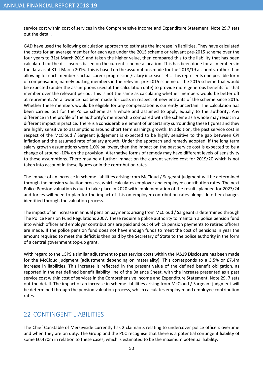service cost within cost of services in the Comprehensive Income and Expenditure Statement. Note 29.7 sets out the detail.

GAD have used the following calculation approach to estimate the increase in liabilities. They have calculated the costs for an average member for each age under the 2015 scheme or relevant pre-2015 scheme over the four years to 31st March 2019 and taken the higher value, then compared this to the liability that has been calculated for the disclosures based on the current scheme allocation. This has been done for all members in the data as at 31st March 2016. This is based on the assumptions made for the 2018/19 accounts, rather than allowing for each member's actual career progression /salary increases etc. This represents one possible form of compensation, namely putting members in the relevant pre-2015 scheme or the 2015 scheme that would be expected (under the assumptions used at the calculation date) to provide more generous benefits for that member over the relevant period. This is not the same as calculating whether members would be better off at retirement. An allowance has been made for costs in respect of new entrants of the scheme since 2015. Whether these members would be eligible for any compensation is currently uncertain. The calculation has been carried out for the Police scheme as a whole and assumed to apply equally to the authority. Any difference in the profile of the authority's membership compared with the scheme as a whole may result in a different impact in practice. There is a considerable element of uncertainty surrounding these figures and they are highly sensitive to assumptions around short term earnings growth. In addition, the past service cost in respect of the McCloud / Sargeant judgement is expected to be highly sensitive to the gap between CPI inflation and the assumed rate of salary growth. Under the approach and remedy adopted, if the long term salary growth assumptions were 1.0% pa lower, then the impact on the past service cost is expected to be a change of around -10% on the provision. Alternative forms of remedy may have different levels of sensitivity to these assumptions. There may be a further impact on the current service cost for 2019/20 which is not taken into account in these figures or in the contribution rates.

The impact of an increase in scheme liabilities arising from McCloud / Sargeant judgment will be determined through the pension valuation process, which calculates employer and employee contribution rates. The next Police Pension valuation is due to take place in 2020 with implementation of the results planned for 2023/24 and forces will need to plan for the impact of this on employer contribution rates alongside other changes identified through the valuation process.

The impact of an increase in annual pension payments arising from McCloud / Sargeant is determined through The Police Pension Fund Regulations 2007. These require a police authority to maintain a police pension fund into which officer and employer contributions are paid and out of which pension payments to retired officers are made. If the police pension fund does not have enough funds to meet the cost of pensions in year the amount required to meet the deficit is then paid by the Secretary of State to the police authority in the form of a central government top-up grant.

With regard to the LGPS a similar adjustment to past service costs within the IAS19 Disclosure has been made for the McCloud judgment (adjustment depending on materiality). This corresponds to a 3.5% or £7.4m increase in liabilities. This increase is reflected in the present value of the defined benefit obligation, as reported in the net defined benefit liability line of the Balance Sheet, with the increase presented as a past service cost within cost of services in the Comprehensive Income and Expenditure Statement. Note 29. 7 sets out the detail. The impact of an increase in scheme liabilities arising from McCloud / Sargeant judgment will be determined through the pension valuation process, which calculates employer and employee contribution rates.

# 22 CONTINGENT LIABILITIES

The Chief Constable of Merseyside currently has 2 claimants relating to undercover police officers overtime and when they are on duty. The Group and the PCC recognise that there is a potential contingent liability of some £0.470m in relation to these cases, which is estimated to be the maximum potential liability.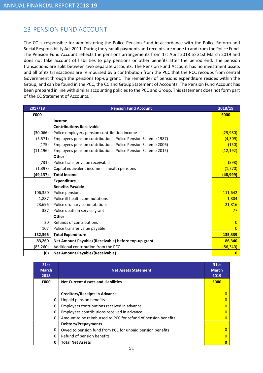# 23 PENSION FUND ACCOUNT

The CC is responsible for administering the Police Pension Fund in accordance with the Police Reform and Social Responsibility Act 2011. During the year all payments and receipts are made to and from the Police Fund. The Pension Fund Account reflects the pensions arrangements from 1st April 2018 to 31st March 2019 and does not take account of liabilities to pay pensions or other benefits after the period end. The pension transactions are split between two separate accounts. The Pension Fund Account has no investment assets and all of its transactions are reimbursed by a contribution from the PCC that the PCC recoups from central Government through the pensions top-up grant. The remainder of pensions expenditure resides within the Group, and can be found in the PCC, the CC and Group Statement of Accounts. The Pension Fund Account has been prepared in line with similar accounting policies to the PCC and Group. This statement does not form part of the CC Statement of Accounts.

| 2017/18   | <b>Pension Fund Account</b>                                  | 2018/19   |
|-----------|--------------------------------------------------------------|-----------|
| £000      |                                                              | £000      |
|           | Income                                                       |           |
|           | <b>Contributions Receivable</b>                              |           |
| (30,066)  | Police employers pension contribution income                 |           |
| (5, 571)  | Employees pension contributions (Police Pension Scheme 1987) | (4,309)   |
| (175)     | Employees pension contributions (Police Pension Scheme 2006) |           |
| (11, 196) | Employees pension contributions (Police Pension Scheme 2015) |           |
|           | Other                                                        |           |
| (731)     | Police transfer value receivable                             |           |
| (1, 397)  | Capital equivalent income - ill health pensions              | (1,770)   |
| (49, 137) | <b>Total Income</b>                                          |           |
|           | <b>Expenditure</b>                                           |           |
|           | <b>Benefits Payable</b>                                      |           |
| 106,350   | Police pensions                                              | 111,642   |
| 1,887     | Police ill health commutations                               | 1,804     |
| 23,696    | Police ordinary commutations                                 | 21,816    |
| 337       | Police death in service grant                                | 77        |
|           | Other                                                        |           |
| 20        | Refunds of contributions                                     | $\Omega$  |
| 107       | Police transfer value payable                                | $\Omega$  |
| 132,396   | <b>Total Expenditure</b>                                     | 135,339   |
| 83,260    | Net Amount Payable/(Receivable) before top-up grant          | 86,340    |
| (83, 260) | Additional contribution from the PCC                         | (86, 340) |
| (0)       | <b>Net Amount Payable/(Receivable)</b>                       | 0         |

| 31st<br><b>March</b><br>2018 | <b>Net Assets Statement</b>                                   | 31st<br><b>March</b><br>2019 |
|------------------------------|---------------------------------------------------------------|------------------------------|
| £000                         | <b>Net Current Assets and Liabilities</b>                     |                              |
|                              | <b>Creditors/Receipts in Advance</b>                          | O                            |
| 0                            | Unpaid pension benefits                                       |                              |
| 0                            | Employers contributions received in advance                   |                              |
| 0                            | Employees contributions received in advance                   |                              |
| 0                            | Amount to be reimbursed to PCC for refund of pension benefits |                              |
|                              | <b>Debtors/Prepayments</b>                                    |                              |
| 0                            | Owed to pension fund from PCC for unpaid pension benefits     |                              |
| 0                            | Refund of pension benefits                                    |                              |
| 0                            | <b>Total Net Assets</b>                                       |                              |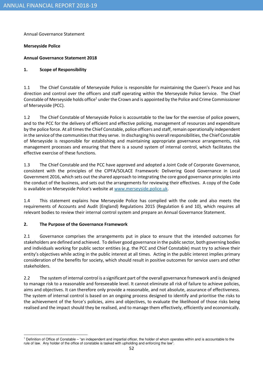Annual Governance Statement

#### Merseyside Police

#### Annual Governance Statement 2018

#### 1. Scope of Responsibility

1.1 The Chief Constable of Merseyside Police is responsible for maintaining the Queen's Peace and has direction and control over the officers and staff operating within the Merseyside Police Service. The Chief Constable of Merseyside holds office<sup>1</sup> under the Crown and is appointed by the Police and Crime Commissioner of Merseyside (PCC).

1.2 The Chief Constable of Merseyside Police is accountable to the law for the exercise of police powers, and to the PCC for the delivery of efficient and effective policing, management of resources and expenditure by the police force. At all times the Chief Constable, police officers and staff, remain operationally independent in the service of the communities that they serve. In discharging his overall responsibilities, the Chief Constable of Merseyside is responsible for establishing and maintaining appropriate governance arrangements, risk management processes and ensuring that there is a sound system of internal control, which facilitates the effective exercise of these functions.

1.3 The Chief Constable and the PCC have approved and adopted a Joint Code of Corporate Governance, consistent with the principles of the CIPFA/SOLACE Framework: Delivering Good Governance in Local Government 2016, which sets out the shared approach to integrating the core good governance principles into the conduct of the business, and sets out the arrangements for reviewing their effectives. A copy of the Code is available on Merseyside Police's website at www.merseyside.police.uk.

1.4 This statement explains how Merseyside Police has complied with the code and also meets the requirements of Accounts and Audit (England) Regulations 2015 (Regulation 6 and 10), which requires all relevant bodies to review their internal control system and prepare an Annual Governance Statement.

#### 2. The Purpose of the Governance Framework

2.1 Governance comprises the arrangements put in place to ensure that the intended outcomes for stakeholders are defined and achieved. To deliver good governance in the public sector, both governing bodies and individuals working for public sector entities (e.g. the PCC and Chief Constable) must try to achieve their entity's objectives while acting in the public interest at all times. Acting in the public interest implies primary consideration of the benefits for society, which should result in positive outcomes for service users and other stakeholders.

2.2 The system of internal control is a significant part of the overall governance framework and is designed to manage risk to a reasonable and foreseeable level. It cannot eliminate all risk of failure to achieve policies, aims and objectives. It can therefore only provide a reasonable, and not absolute, assurance of effectiveness. The system of internal control is based on an ongoing process designed to identify and prioritise the risks to the achievement of the force's policies, aims and objectives, to evaluate the likelihood of those risks being realised and the impact should they be realised, and to manage them effectively, efficiently and economically.

 <sup>1</sup> Definition of Office of Constable – "an independent and impartial officer, the holder of whom operates within and is accountable to the rule of law. Any holder of the office of constable is tasked with upholding and enforcing the law".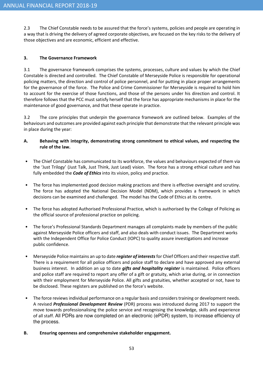2.3 The Chief Constable needs to be assured that the force's systems, policies and people are operating in a way that is driving the delivery of agreed corporate objectives, are focused on the key risks to the delivery of those objectives and are economic, efficient and effective.

#### 3. The Governance Framework

3.1 The governance framework comprises the systems, processes, culture and values by which the Chief Constable is directed and controlled. The Chief Constable of Merseyside Police is responsible for operational policing matters, the direction and control of police personnel, and for putting in place proper arrangements for the governance of the force. The Police and Crime Commissioner for Merseyside is required to hold him to account for the exercise of those functions, and those of the persons under his direction and control. It therefore follows that the PCC must satisfy herself that the force has appropriate mechanisms in place for the maintenance of good governance, and that these operate in practice.

3.2 The core principles that underpin the governance framework are outlined below. Examples of the behaviours and outcomes are provided against each principle that demonstrate that the relevant principle was in place during the year:

- A. Behaving with integrity, demonstrating strong commitment to ethical values, and respecting the rule of the law.
- The Chief Constable has communicated to its workforce, the values and behaviours expected of them via the 'Just Trilogy' (Just Talk, Just Think, Just Lead) vision. The force has a strong ethical culture and has fully embedded the **Code of Ethics** into its vision, policy and practice.
- The force has implemented good decision making practices and there is effective oversight and scrutiny. The force has adopted the National Decision Model (NDM), which provides a framework in which decisions can be examined and challenged. The model has the Code of Ethics at its centre.
- The force has adopted Authorised Professional Practice, which is authorised by the College of Policing as the official source of professional practice on policing.
- The force's Professional Standards Department manages all complaints made by members of the public against Merseyside Police officers and staff, and also deals with conduct issues. The Department works with the Independent Office for Police Conduct (IOPC) to quality assure investigations and increase public confidence.
- Merseyside Police maintains an up to date register of interests for Chief Officers and their respective staff. There is a requirement for all police officers and police staff to declare and have approved any external business interest. In addition an up to date *gifts and hospitality register* is maintained. Police officers and police staff are required to report any offer of a gift or gratuity, which arise during, or in connection with their employment for Merseyside Police. All gifts and gratuities, whether accepted or not, have to be disclosed. These registers are published on the force's website.
- The force reviews individual performance on a regular basis and considers training or development needs. A revised Professional Development Review (PDR) process was introduced during 2017 to support the move towards professionalising the police service and recognising the knowledge, skills and experience of all staff. All PDRs are now completed on an electronic (ePDR) system, to increase efficiency of the process.
- B. Ensuring openness and comprehensive stakeholder engagement.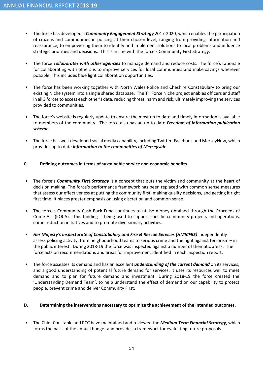- The force has developed a *Community Engagement Strategy* 2017-2020, which enables the participation of citizens and communities in policing at their chosen level, ranging from providing information and reassurance, to empowering them to identify and implement solutions to local problems and influence strategic priorities and decisions. This is in line with the force's Community First Strategy.
- The force *collaborates with other agencies* to manage demand and reduce costs. The force's rationale for collaborating with others is to improve services for local communities and make savings wherever possible. This includes blue light collaboration opportunities.
- The force has been working together with North Wales Police and Cheshire Constabulary to bring our existing Niche system into a single shared database. The Tri Force Niche project enables officers and staff in all 3 forces to access each other's data, reducing threat, harm and risk, ultimately improving the services provided to communities.
- The force's website is regularly update to ensure the most up to date and timely information is available to members of the community. The force also has an up to date Freedom of Information publication scheme.
- The force has well-developed social media capability, including Twitter, Facebook and MerseyNow, which provides up to date *information to the communities of Merseyside*.
- C. Defining outcomes in terms of sustainable service and economic benefits.
- The force's *Community First Strategy* is a concept that puts the victim and community at the heart of decision making. The force's performance framework has been replaced with common sense measures that assess our effectiveness at putting the community first, making quality decisions, and getting it right first time. It places greater emphasis on using discretion and common sense.
- The force's Community Cash Back Fund continues to utilise money obtained through the Proceeds of Crime Act (POCA). This funding is being used to support specific community projects and operations, crime reduction initiatives and to promote diversionary activities.
- Her Majesty's Inspectorate of Constabulary and Fire & Rescue Services (HMICFRS) independently assess policing activity, from neighbourhood teams to serious crime and the fight against terrorism – in the public interest. During 2018-19 the force was inspected against a number of thematic areas. The force acts on recommendations and areas for improvement identified in each inspection report.
- The force assesses its demand and has an excellent *understanding of the current demand* on its services, and a good understanding of potential future demand for services. It uses its resources well to meet demand and to plan for future demand and investment. During 2018-19 the force created the 'Understanding Demand Team', to help understand the effect of demand on our capability to protect people, prevent crime and deliver Community First.

#### D. Determining the interventions necessary to optimize the achievement of the intended outcomes.

The Chief Constable and PCC have maintained and reviewed the Medium Term Financial Strategy, which forms the basis of the annual budget and provides a framework for evaluating future proposals.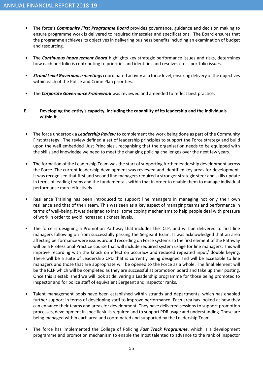- The force's *Community First Programme Board* provides governance, guidance and decision making to ensure programme work is delivered to required timescales and specifications. The Board ensures that the programme achieves its objectives in delivering business benefits including an examination of budget and resourcing.
- The **Continuous Improvement Board** highlights key strategic performance issues and risks, determines how each portfolio is contributing to priorities and identifies and resolves cross portfolio issues.
- Strand Level Governance meetings coordinated activity at a force level, ensuring delivery of the objectives within each of the Police and Crime Plan priorities.
- The Corporate Governance Framework was reviewed and amended to reflect best practice.
- E. Developing the entity's capacity, including the capability of its leadership and the individuals within it.
- The force undertook a *Leadership Review* to complement the work being done as part of the Community First strategy. The review defined a set of leadership principles to support the Force strategy and build upon the well embedded 'Just Principles', recognising that the organisation needs to be equipped with the skills and knowledge we need to meet the changing policing challenges over the next few years.
- The formation of the Leadership Team was the start of supporting further leadership development across the Force. The current leadership development was reviewed and identified key areas for development. It was recognised that first and second line managers required a stronger strategic steer and skills update in terms of leading teams and the fundamentals within that in order to enable them to manage individual performance more effectively.
- Resilience Training has been introduced to support line managers in managing not only their own resilience and that of their team. This was seen as a key aspect of managing teams and performance in terms of well-being. It was designed to instil some coping mechanisms to help people deal with pressure of work in order to avoid increased sickness levels.
- The force is designing a Promotion Pathway that includes the ICLP, and will be delivered to first line managers following on from successfully passing the Sergeant Exam. It was acknowledged that an area affecting performance were issues around recording on Force systems so the first element of the Pathway will be a Professional Practice course that will include required system usage for line managers. This will improve recording with the knock on effect on accuracy and reduced repeated input/ double keying. There will be a suite of Leadership CPD that is currently being designed and will be accessible to line managers and those that are appropriate will be opened to the Force as a whole. The final element will be the ICLP which will be completed as they are successful at promotion board and take up their posting. Once this is established we will look at delivering a Leadership programme for those being promoted to Inspector and for police staff of equivalent Sergeant and Inspector ranks.
- Talent management pools have been established within strands and departments, which has enabled further support in terms of developing staff to improve performance. Each area has looked at how they can enhance their teams and areas for development. They have delivered sessions to support promotion processes, development in specific skills required and to support PDR usage and understanding. These are being managed within each area and coordinated and supported by the Leadership Team.
- The force has implemented the College of Policing Fast Track Programme, which is a development programme and promotion mechanism to enable the most talented to advance to the rank of inspector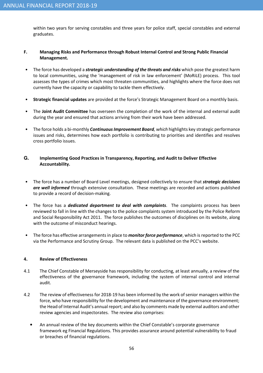within two years for serving constables and three years for police staff, special constables and external graduates.

#### F. Managing Risks and Performance through Robust Internal Control and Strong Public Financial Management.

- The force has developed a *strategic understanding of the threats and risks* which pose the greatest harm to local communities, using the 'management of risk in law enforcement' (MoRiLE) process. This tool assesses the types of crimes which most threaten communities, and highlights where the force does not currently have the capacity or capability to tackle them effectively.
- Strategic financial updates are provided at the force's Strategic Management Board on a monthly basis.
- The Joint Audit Committee has overseen the completion of the work of the internal and external audit during the year and ensured that actions arriving from their work have been addressed.
- The force holds a bi-monthly *Continuous Improvement Board, which* highlights key strategic performance issues and risks, determines how each portfolio is contributing to priorities and identifies and resolves cross portfolio issues.

#### **G.** Implementing Good Practices in Transparency, Reporting, and Audit to Deliver Effective Accountability.

- The force has a number of Board Level meetings, designed collectively to ensure that *strategic decisions* are well informed through extensive consultation. These meetings are recorded and actions published to provide a record of decision-making.
- The force has a *dedicated department to deal with complaints*. The complaints process has been reviewed to fall in line with the changes to the police complaints system introduced by the Police Reform and Social Responsibility Act 2011. The force publishes the outcomes of disciplines on its website, along with the outcome of misconduct hearings.
- The force has effective arrangements in place to *monitor force performance*, which is reported to the PCC via the Performance and Scrutiny Group. The relevant data is published on the PCC's website.

#### 4. Review of Effectiveness

- 4.1 The Chief Constable of Merseyside has responsibility for conducting, at least annually, a review of the effectiveness of the governance framework, including the system of internal control and internal audit.
- 4.2 The review of effectiveness for 2018-19 has been informed by the work of senior managers within the force, who have responsibility for the development and maintenance of the governance environment; the Head of Internal Audit's annual report; and also by comments made by external auditors and other review agencies and inspectorates. The review also comprises:
	- An annual review of the key documents within the Chief Constable's corporate governance framework eg Financial Regulations. This provides assurance around potential vulnerability to fraud or breaches of financial regulations.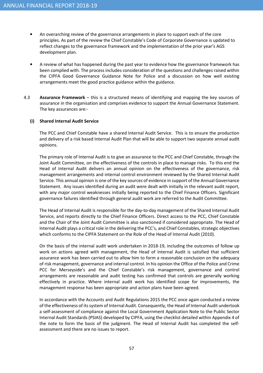- An overarching review of the governance arrangements in place to support each of the core principles. As part of the review the Chief Constable's Code of Corporate Governance is updated to reflect changes to the governance framework and the implementation of the prior year's AGS development plan.
- A review of what has happened during the past year to evidence how the governance framework has been complied with. The process includes consideration of the questions and challenges raised within the CIPFA Good Governance Guidance Note for Police and a discussion on how well existing arrangements meet the good practice guidance within the guidance.
- 4.3 **Assurance Framework** this is a structured means of identifying and mapping the key sources of assurance in the organisation and comprises evidence to support the Annual Governance Statement. The key assurances are:-

#### (i) Shared Internal Audit Service

The PCC and Chief Constable have a shared Internal Audit Service. This is to ensure the production and delivery of a risk based Internal Audit Plan that will be able to support two separate annual audit opinions.

The primary role of Internal Audit is to give an assurance to the PCC and Chief Constable, through the Joint Audit Committee, on the effectiveness of the controls in place to manage risks. To this end the Head of Internal Audit delivers an annual opinion on the effectiveness of the governance, risk management arrangements and internal control environment reviewed by the Shared Internal Audit Service. This annual opinion is one of the key sources of evidence in support of the Annual Governance Statement. Any issues identified during an audit were dealt with initially in the relevant audit report, with any major control weaknesses initially being reported to the Chief Finance Officers. Significant governance failures identified through general audit work are referred to the Audit Committee.

The Head of Internal Audit is responsible for the day-to-day management of the Shared Internal Audit Service, and reports directly to the Chief Finance Officers. Direct access to the PCC, Chief Constable and the Chair of the Joint Audit Committee is also sanctioned if considered appropriate. The Head of Internal Audit plays a critical role in the delivering the PCC's, and Chief Constables, strategic objectives which conforms to the CIPFA Statement on the Role of the Head of Internal Audit (2010).

On the basis of the internal audit work undertaken in 2018-19, including the outcomes of follow up work on actions agreed with management, the Head of Internal Audit is satisfied that sufficient assurance work has been carried out to allow him to form a reasonable conclusion on the adequacy of risk management, governance and internal control. In his opinion the Office of the Police and Crime PCC for Merseyside's and the Chief Constable's risk management, governance and control arrangements are reasonable and audit testing has confirmed that controls are generally working effectively in practice. Where internal audit work has identified scope for improvements, the management response has been appropriate and action plans have been agreed.

In accordance with the Accounts and Audit Regulations 2015 the PCC once again conducted a review of the effectiveness of its system of Internal Audit. Consequently, the Head of Internal Audit undertook a self-assessment of compliance against the Local Government Application Note to the Public Sector Internal Audit Standards (PSIAS) developed by CIPFA, using the checklist detailed within Appendix 4 of the note to form the basis of the judgment. The Head of Internal Audit has completed the selfassessment and there are no issues to report.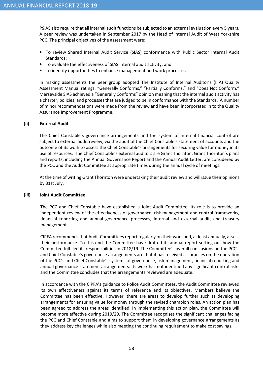PSIAS also require that all internal audit functions be subjected to an external evaluation every 5 years. A peer review was undertaken in September 2017 by the Head of Internal Audit of West Yorkshire PCC. The principal objectives of the assessment were:

- To review Shared Internal Audit Service (SIAS) conformance with Public Sector Internal Audit Standards;
- To evaluate the effectiveness of SIAS internal audit activity; and
- To identify opportunities to enhance management and work processes.

In making assessments the peer group adopted The Institute of Internal Auditor's (IIIA) Quality Assessment Manual ratings: "Generally Conforms," "Partially Conforms," and "Does Not Conform." Merseyside SIAS achieved a "Generally Conforms" opinion meaning that the internal audit activity has a charter, policies, and processes that are judged to be in conformance with the Standards. A number of minor recommendations were made from the review and have been incorporated in to the Quality Assurance Improvement Programme.

#### (ii) External Audit

The Chief Constable's governance arrangements and the system of internal financial control are subject to external audit review, via the audit of the Chief Constable's statement of accounts and the outcome of its work to assess the Chief Constable's arrangements for securing value for money in its use of resources. The Chief Constable's external auditors are Grant Thornton. Grant Thornton's plans and reports, including the Annual Governance Report and the Annual Audit Letter, are considered by the PCC and the Audit Committee at appropriate times during the annual cycle of meetings.

At the time of writing Grant Thornton were undertaking their audit review and will issue their opinions by 31st July.

#### (iii) Joint Audit Committee

The PCC and Chief Constable have established a Joint Audit Committee. Its role is to provide an independent review of the effectiveness of governance, risk management and control frameworks, financial reporting and annual governance processes, internal and external audit, and treasury management.

CIPFA recommends that Audit Committees report regularly on their work and, at least annually, assess their performance. To this end the Committee have drafted its annual report setting out how the Committee fulfilled its responsibilities in 2018/19. The Committee's overall conclusions on the PCC's and Chief Constable's governance arrangements are that it has received assurances on the operation of the PCC's and Chief Constable's systems of governance, risk management, financial reporting and annual governance statement arrangements. Its work has not identified any significant control risks and the Committee concludes that the arrangements reviewed are adequate.

In accordance with the CIPFA's guidance to Police Audit Committees, the Audit Committee reviewed its own effectiveness against its terms of reference and its objectives. Members believe the Committee has been effective. However, there are areas to develop further such as developing arrangements for ensuring value for money through the revised champion roles. An action plan has been agreed to address the areas identified. In implementing this action plan, the Committee will become more effective during 2019/20. The Committee recognises the significant challenges facing the PCC and Chief Constable and aims to support them in developing governance arrangements as they address key challenges while also meeting the continuing requirement to make cost savings.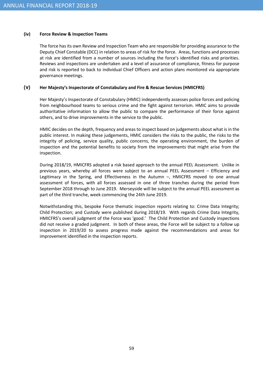#### (iv) Force Review & Inspection Teams

The force has its own Review and Inspection Team who are responsible for providing assurance to the Deputy Chief Constable (DCC) in relation to areas of risk for the force. Areas, functions and processes at risk are identified from a number of sources including the force's identified risks and priorities. Reviews and inspections are undertaken and a level of assurance of compliance, fitness for purpose and risk is reported to back to individual Chief Officers and action plans monitored via appropriate governance meetings.

#### **(v)** Her Majesty's Inspectorate of Constabulary and Fire & Rescue Services (HMICFRS)

Her Majesty's Inspectorate of Constabulary (HMIC) independently assesses police forces and policing from neighbourhood teams to serious crime and the fight against terrorism. HMIC aims to provide authoritative information to allow the public to compare the performance of their force against others, and to drive improvements in the service to the public.

HMIC decides on the depth, frequency and areas to inspect based on judgements about what is in the public interest. In making these judgements, HMIC considers the risks to the public, the risks to the integrity of policing, service quality, public concerns, the operating environment, the burden of inspection and the potential benefits to society from the improvements that might arise from the inspection.

During 2018/19, HMICFRS adopted a risk based approach to the annual PEEL Assessment. Unlike in previous years, whereby all forces were subject to an annual PEEL Assessment – Efficiency and Legitimacy in the Spring, and Effectiveness in the Autumn –, HMICFRS moved to one annual assessment of forces, with all forces assessed in one of three tranches during the period from September 2018 through to June 2019. Merseyside will be subject to the annual PEEL assessment as part of the third tranche, week commencing the 24th June 2019.

Notwithstanding this, bespoke Force thematic inspection reports relating to: Crime Data Integrity; Child Protection; and Custody were published during 2018/19. With regards Crime Data Integrity, HMICFRS's overall judgment of the Force was 'good.' The Child Protection and Custody inspections did not receive a graded judgment. In both of these areas, the Force will be subject to a follow up inspection in 2019/20 to assess progress made against the recommendations and areas for improvement identified in the inspection reports.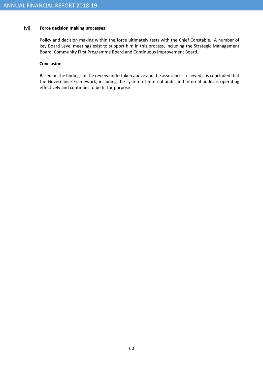#### (vi) Force decision making processes

Policy and decision making within the force ultimately rests with the Chief Constable. A number of key Board Level meetings exist to support him in this process, including the Strategic Management Board, Community First Programme Board and Continuous Improvement Board.

#### **Conclusion**

Based on the findings of the review undertaken above and the assurances received it is concluded that the Governance Framework, including the system of internal audit and internal audit, is operating effectively and continues to be fit for purpose.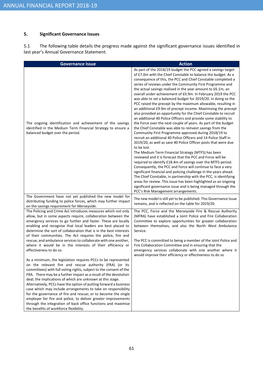#### 5. Significant Governance Issues

5.1 The following table details the progress made against the significant governance issues identified in last year's Annual Governance Statement.

| <b>Governance Issue</b>                                                                                                                                                                                                                                                                                                                                                                                                                                                                                                                                                                                                                                                                                                                                                                                                                                                                                                                                                                                                                                                                                                                                                                                                                                                                                                                                                                                                                                             | <b>Action</b>                                                                                                                                                                                                                                                                                                                                                                                                                                                                                                                                                                                                                                                                                                                                                                                                                                                                                                                                                                                                                                                                                                                                                                                                                                                                                                                                                                                                                                                                                                                                                                                                                                         |
|---------------------------------------------------------------------------------------------------------------------------------------------------------------------------------------------------------------------------------------------------------------------------------------------------------------------------------------------------------------------------------------------------------------------------------------------------------------------------------------------------------------------------------------------------------------------------------------------------------------------------------------------------------------------------------------------------------------------------------------------------------------------------------------------------------------------------------------------------------------------------------------------------------------------------------------------------------------------------------------------------------------------------------------------------------------------------------------------------------------------------------------------------------------------------------------------------------------------------------------------------------------------------------------------------------------------------------------------------------------------------------------------------------------------------------------------------------------------|-------------------------------------------------------------------------------------------------------------------------------------------------------------------------------------------------------------------------------------------------------------------------------------------------------------------------------------------------------------------------------------------------------------------------------------------------------------------------------------------------------------------------------------------------------------------------------------------------------------------------------------------------------------------------------------------------------------------------------------------------------------------------------------------------------------------------------------------------------------------------------------------------------------------------------------------------------------------------------------------------------------------------------------------------------------------------------------------------------------------------------------------------------------------------------------------------------------------------------------------------------------------------------------------------------------------------------------------------------------------------------------------------------------------------------------------------------------------------------------------------------------------------------------------------------------------------------------------------------------------------------------------------------|
| The ongoing identification and achievement of the savings<br>identified in the Medium Term Financial Strategy to ensure a<br>balanced budget over the period.                                                                                                                                                                                                                                                                                                                                                                                                                                                                                                                                                                                                                                                                                                                                                                                                                                                                                                                                                                                                                                                                                                                                                                                                                                                                                                       | As part of the 2018/19 budget the PCC agreed a savings target<br>of £7.0m with the Chief Constable to balance the budget. As a<br>consequence of this, the PCC and Chief Constable completed a<br>series of reviews under the Community First Programme and<br>the actual savings realised in the year amount to £6.1m, an<br>overall under-achievement of £0.9m. In February 2019 the PCC<br>was able to set a balanced budget for 2019/20. In doing so the<br>PCC raised the precept by the maximum allowable, resulting in<br>an additional £9.9m of precept income. Maximising the precept<br>also provided an opportunity for the Chief Constable to recruit<br>an additional 40 Police Officers and provide some stability to<br>the Force over the next couple of years. As part of the budget<br>the Chief Constable was able to reinvest savings from the<br>Community First Programme approved during 2018/19 to<br>recruit an additional 40 Police Officers and 14 Police Staff in<br>2019/20, as well as save 40 Police Officer posts that were due<br>to be lost.<br>The Medium Term Financial Strategy (MTFS) has been<br>reviewed and it is forecast that the PCC and Force will be<br>required to identify £18.4m of savings over the MTFS period.<br>Consequently, the PCC and Force will continue to face a very<br>significant financial and policing challenge in the years ahead.<br>The Chief Constable, in partnership with the PCC, is identifying<br>areas for review. This issue has been highlighted as an ongoing<br>significant governance issue and is being managed through the<br>PCC's Risk Management arrangements. |
| The Government have not yet published the new model for<br>distributing funding to police forces, which may further impact<br>on the savings requirement for Merseyside.<br>The Policing and Crime Act introduces measures which not only<br>allow, but in some aspects require, collaboration between the<br>emergency services to go further and faster. These are locally<br>enabling and recognise that local leaders are best placed to<br>determine the sort of collaboration that is in the best interests<br>of their communities. The Act requires the police, fire and<br>rescue, and ambulance services to collaborate with one another,<br>where it would be in the interests of their efficiency or<br>effectiveness to do so.<br>As a minimum, the legislation requires PCCs to be represented<br>on the relevant fire and rescue authority (FRA) (or its<br>committees) with full voting rights, subject to the consent of the<br>FRA. There may be a further impact as a result of the devolution<br>deal; the implications of which are unknown at this stage.<br>Alternatively, PCCs have the option of putting forward a business<br>case which may include arrangements to take on responsibility<br>for the governance of fire and rescue; or to become the single<br>employer for fire and police, to deliver greater improvements<br>through the integration of back office functions and maximise<br>the benefits of workforce flexibility. | The new model is still yet to be published. This Governance Issue<br>remains, and is reflected on the table for 2019/20.<br>The PCC, Force and the Merseyside Fire & Rescue Authority<br>(MFRA) have established a Joint Police and Fire Collaboration<br>Committee to explore opportunities for greater collaboration<br>between themselves, and also the North West Ambulance<br>Service.<br>The PCC is committed to being a member of the Joint Police and<br>Fire Collaboration Committee and in ensuring that the<br>emergency services collaborate with one another where it<br>would improve their efficiency or effectiveness to do so                                                                                                                                                                                                                                                                                                                                                                                                                                                                                                                                                                                                                                                                                                                                                                                                                                                                                                                                                                                                        |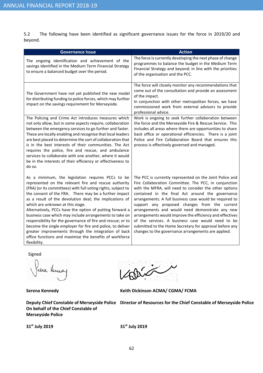5.2 The following have been identified as significant governance issues for the force in 2019/20 and beyond.

| <b>Governance Issue</b>                                                                                                                                                                                                                                                                                                                                                                                                                                                                                                                                                                                                                                                                                                    | <b>Action</b>                                                                                                                                                                                                                                                                                                                                                                                                                                                                                                                                                                                                                     |
|----------------------------------------------------------------------------------------------------------------------------------------------------------------------------------------------------------------------------------------------------------------------------------------------------------------------------------------------------------------------------------------------------------------------------------------------------------------------------------------------------------------------------------------------------------------------------------------------------------------------------------------------------------------------------------------------------------------------------|-----------------------------------------------------------------------------------------------------------------------------------------------------------------------------------------------------------------------------------------------------------------------------------------------------------------------------------------------------------------------------------------------------------------------------------------------------------------------------------------------------------------------------------------------------------------------------------------------------------------------------------|
| The ongoing identification and achievement of the<br>savings identified in the Medium Term Financial Strategy<br>to ensure a balanced budget over the period.                                                                                                                                                                                                                                                                                                                                                                                                                                                                                                                                                              | The force is currently developing the next phase of change<br>programmes to balance the budget in the Medium Term<br>Financial Strategy and beyond; in line with the priorities<br>of the organisation and the PCC.                                                                                                                                                                                                                                                                                                                                                                                                               |
| The Government have not yet published the new model<br>for distributing funding to police forces, which may further<br>impact on the savings requirement for Merseyside.                                                                                                                                                                                                                                                                                                                                                                                                                                                                                                                                                   | The force will closely monitor any recommendations that<br>come out of the consultation and provide an assessment<br>of the impact.<br>In conjunction with other metropolitan forces, we have<br>commissioned work from external advisors to provide<br>professional advice.                                                                                                                                                                                                                                                                                                                                                      |
| The Policing and Crime Act introduces measures which<br>not only allow, but in some aspects require, collaboration<br>between the emergency services to go further and faster.<br>These are locally enabling and recognise that local leaders<br>are best placed to determine the sort of collaboration that<br>is in the best interests of their communities. The Act<br>requires the police, fire and rescue, and ambulance<br>services to collaborate with one another, where it would<br>be in the interests of their efficiency or effectiveness to<br>do so.                                                                                                                                                         | Work is ongoing to seek further collaboration between<br>the force and the Merseyside Fire & Rescue Service. This<br>includes all areas where there are opportunities to share<br>back office or operational efficiencies. There is a joint<br>Police and Fire Collaboration Board that ensures this<br>process is effectively governed and managed.                                                                                                                                                                                                                                                                              |
| As a minimum, the legislation requires PCCs to be<br>represented on the relevant fire and rescue authority<br>(FRA) (or its committees) with full voting rights, subject to<br>the consent of the FRA. There may be a further impact<br>as a result of the devolution deal; the implications of<br>which are unknown at this stage.<br>Alternatively, PCCs have the option of putting forward a<br>business case which may include arrangements to take on<br>responsibility for the governance of fire and rescue; or to<br>become the single employer for fire and police, to deliver<br>greater improvements through the integration of back<br>office functions and maximise the benefits of workforce<br>flexibility. | The PCC is currently represented on the Joint Police and<br>Fire Collaboration Committee. The PCC, in conjunction<br>with the MFRA, will need to consider the other options<br>contained in the final Act around the governance<br>arrangements. A full business case would be required to<br>support any proposed changes from the current<br>arrangements and would need demonstrate any new<br>arrangements would improve the efficiency and effectives<br>of the services. A business case would need to be<br>submitted to the Home Secretary for approval before any<br>changes to the governance arrangements are applied. |

Signed

erna Hennedy

 $\ddot{\mathscr{L}}$ 

Serena Kennedy **Keith Dickinson ACMA/ CGMA/ FCMA** 

Deputy Chief Constable of Merseyside Police Director of Resources for the Chief Constable of Merseyside Police On behalf of the Chief Constable of Merseyside Police

31<sup>st</sup> July 2019 31<sup>st</sup> July 2019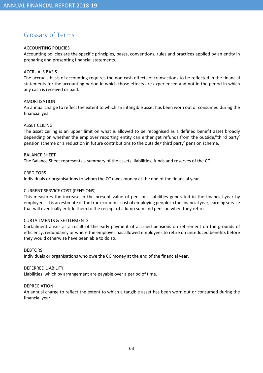# Glossary of Terms

#### ACCOUNTING POLICIES

Accounting policies are the specific principles, bases, conventions, rules and practices applied by an entity in preparing and presenting financial statements.

#### ACCRUALS BASIS

The accruals basis of accounting requires the non-cash effects of transactions to be reflected in the financial statements for the accounting period in which those effects are experienced and not in the period in which any cash is received or paid.

#### AMORTISATION

An annual charge to reflect the extent to which an intangible asset has been worn out or consumed during the financial year.

#### ASSET CEILING

The asset ceiling is an upper limit on what is allowed to be recognised as a defined benefit asset broadly depending on whether the employer reporting entity can either get refunds from the outside/'third party' pension scheme or a reduction in future contributions to the outside/'third party' pension scheme.

#### BALANCE SHEET

The Balance Sheet represents a summary of the assets, liabilities, funds and reserves of the CC.

#### **CREDITORS**

Individuals or organisations to whom the CC owes money at the end of the financial year.

#### CURRENT SERVICE COST (PENSIONS)

This measures the increase in the present value of pensions liabilities generated in the financial year by employees. It is an estimate of the true economic cost of employing people in the financial year, earning service that will eventually entitle them to the receipt of a lump sum and pension when they retire.

#### CURTAILMENTS & SETTLEMENTS

Curtailment arises as a result of the early payment of accrued pensions on retirement on the grounds of efficiency, redundancy or where the employer has allowed employees to retire on unreduced benefits before they would otherwise have been able to do so.

#### **DEBTORS**

Individuals or organisations who owe the CC money at the end of the financial year.

#### DEFERRED LIABILITY

Liabilities, which by arrangement are payable over a period of time.

#### DEPRECIATION

An annual charge to reflect the extent to which a tangible asset has been worn out or consumed during the financial year.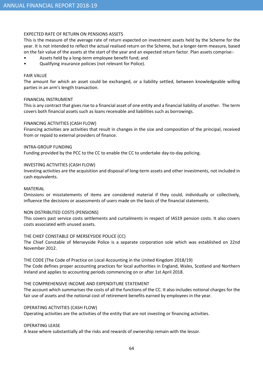#### EXPECTED RATE OF RETURN ON PENSIONS ASSETS

This is the measure of the average rate of return expected on investment assets held by the Scheme for the year. It is not intended to reflect the actual realised return on the Scheme, but a longer-term measure, based on the fair value of the assets at the start of the year and an expected return factor. Plan assets comprise:-

- Assets held by a long-term employee benefit fund; and
- Qualifying insurance policies (not relevant for Police).

#### FAIR VALUE

The amount for which an asset could be exchanged, or a liability settled, between knowledgeable willing parties in an arm's length transaction.

#### FINANCIAL INSTRUMENT

This is any contract that gives rise to a financial asset of one entity and a financial liability of another. The term covers both financial assets such as loans receivable and liabilities such as borrowings.

#### FINANCING ACTIVITIES (CASH FLOW)

Financing activities are activities that result in changes in the size and composition of the principal, received from or repaid to external providers of finance.

#### INTRA-GROUP FUNDING

Funding provided by the PCC to the CC to enable the CC to undertake day-to-day policing.

#### INVESTING ACTIVITIES (CASH FLOW)

Investing activities are the acquisition and disposal of long-term assets and other investments, not included in cash equivalents.

#### MATERIAL

Omissions or misstatements of items are considered material if they could, individually or collectively, influence the decisions or assessments of users made on the basis of the financial statements.

#### NON DISTRIBUTED COSTS (PENSIONS)

This covers past service costs settlements and curtailments in respect of IAS19 pension costs. It also covers costs associated with unused assets.

#### THE CHIEF CONSTABLE OF MERSEYSIDE POLICE (CC)

The Chief Constable of Merseyside Police is a separate corporation sole which was established on 22nd November 2012.

#### THE CODE (The Code of Practice on Local Accounting in the United Kingdom 2018/19)

The Code defines proper accounting practices for local authorities in England, Wales, Scotland and Northern Ireland and applies to accounting periods commencing on or after 1st April 2018.

#### THE COMPREHENSIVE INCOME AND EXPENDITURE STATEMENT

The account which summarises the costs of all the functions of the CC. It also includes notional charges for the fair use of assets and the notional cost of retirement benefits earned by employees in the year.

#### OPERATING ACTIVITIES (CASH FLOW)

Operating activities are the activities of the entity that are not investing or financing activities.

#### OPERATING LEASE

A lease where substantially all the risks and rewards of ownership remain with the lessor.